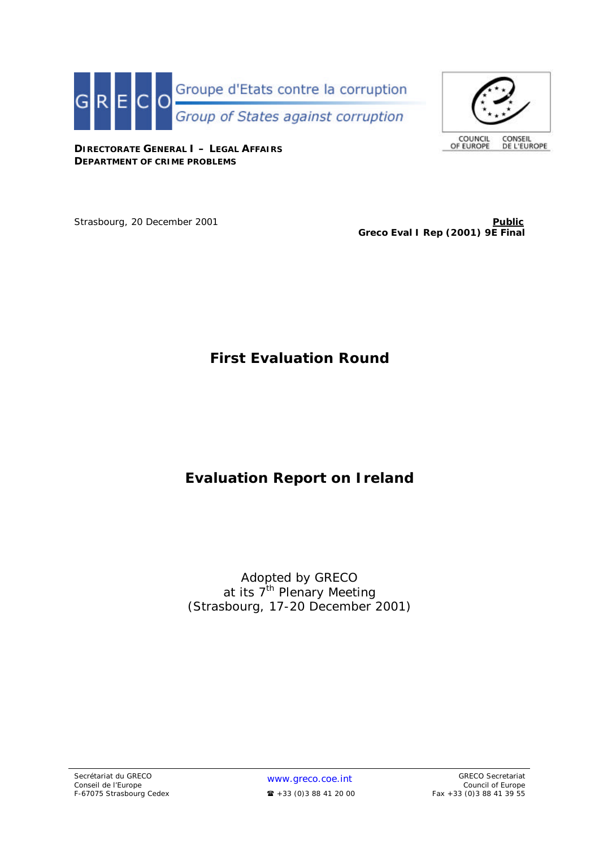



**DIRECTORATE GENERAL I – LEGAL AFFAIRS DEPARTMENT OF CRIME PROBLEMS**

Strasbourg, 20 December 2001 **Public Public Public Public Public Public Public Greco Eval I Rep (2001) 9E Final**

# **First Evaluation Round**

# **Evaluation Report on Ireland**

Adopted by GRECO at its 7<sup>th</sup> Plenary Meeting (Strasbourg, 17-20 December 2001)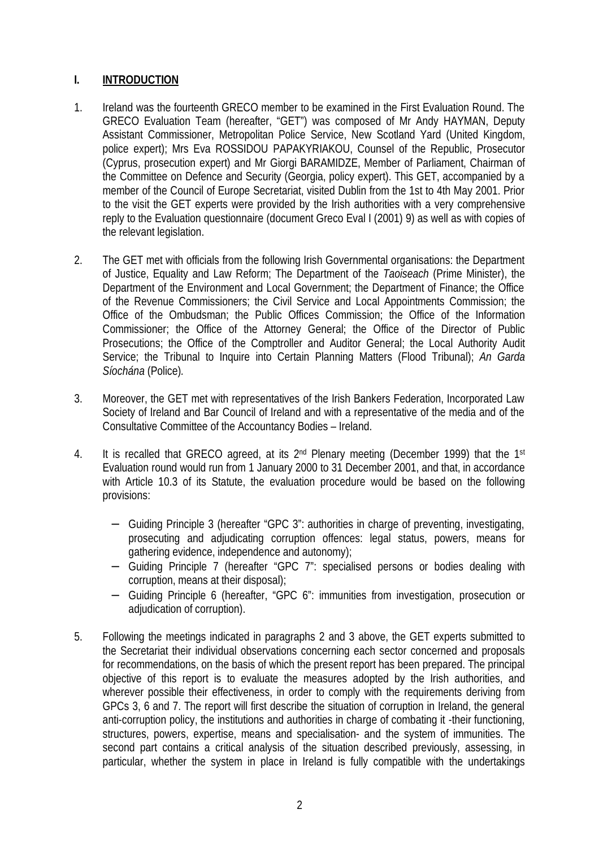## **I. INTRODUCTION**

- 1. Ireland was the fourteenth GRECO member to be examined in the First Evaluation Round. The GRECO Evaluation Team (hereafter, "GET") was composed of Mr Andy HAYMAN, Deputy Assistant Commissioner, Metropolitan Police Service, New Scotland Yard (United Kingdom, police expert); Mrs Eva ROSSIDOU PAPAKYRIAKOU, Counsel of the Republic, Prosecutor (Cyprus, prosecution expert) and Mr Giorgi BARAMIDZE, Member of Parliament, Chairman of the Committee on Defence and Security (Georgia, policy expert). This GET, accompanied by a member of the Council of Europe Secretariat, visited Dublin from the 1st to 4th May 2001. Prior to the visit the GET experts were provided by the Irish authorities with a very comprehensive reply to the Evaluation questionnaire (document Greco Eval I (2001) 9) as well as with copies of the relevant legislation.
- 2. The GET met with officials from the following Irish Governmental organisations: the Department of Justice, Equality and Law Reform; The Department of the *Taoiseach* (Prime Minister), the Department of the Environment and Local Government; the Department of Finance; the Office of the Revenue Commissioners; the Civil Service and Local Appointments Commission; the Office of the Ombudsman; the Public Offices Commission; the Office of the Information Commissioner; the Office of the Attorney General; the Office of the Director of Public Prosecutions; the Office of the Comptroller and Auditor General; the Local Authority Audit Service; the Tribunal to Inquire into Certain Planning Matters (Flood Tribunal); *An Garda Síochána* (Police)*.*
- 3. Moreover, the GET met with representatives of the Irish Bankers Federation, Incorporated Law Society of Ireland and Bar Council of Ireland and with a representative of the media and of the Consultative Committee of the Accountancy Bodies – Ireland.
- 4. It is recalled that GRECO agreed, at its 2<sup>nd</sup> Plenary meeting (December 1999) that the 1<sup>st</sup> Evaluation round would run from 1 January 2000 to 31 December 2001, and that, in accordance with Article 10.3 of its Statute, the evaluation procedure would be based on the following provisions:
	- − Guiding Principle 3 (hereafter "GPC 3": authorities in charge of preventing, investigating, prosecuting and adjudicating corruption offences: legal status, powers, means for gathering evidence, independence and autonomy);
	- − Guiding Principle 7 (hereafter "GPC 7": specialised persons or bodies dealing with corruption, means at their disposal);
	- − Guiding Principle 6 (hereafter, "GPC 6": immunities from investigation, prosecution or adjudication of corruption).
- 5. Following the meetings indicated in paragraphs 2 and 3 above, the GET experts submitted to the Secretariat their individual observations concerning each sector concerned and proposals for recommendations, on the basis of which the present report has been prepared. The principal objective of this report is to evaluate the measures adopted by the Irish authorities, and wherever possible their effectiveness, in order to comply with the requirements deriving from GPCs 3, 6 and 7. The report will first describe the situation of corruption in Ireland, the general anti-corruption policy, the institutions and authorities in charge of combating it -their functioning, structures, powers, expertise, means and specialisation- and the system of immunities. The second part contains a critical analysis of the situation described previously, assessing, in particular, whether the system in place in Ireland is fully compatible with the undertakings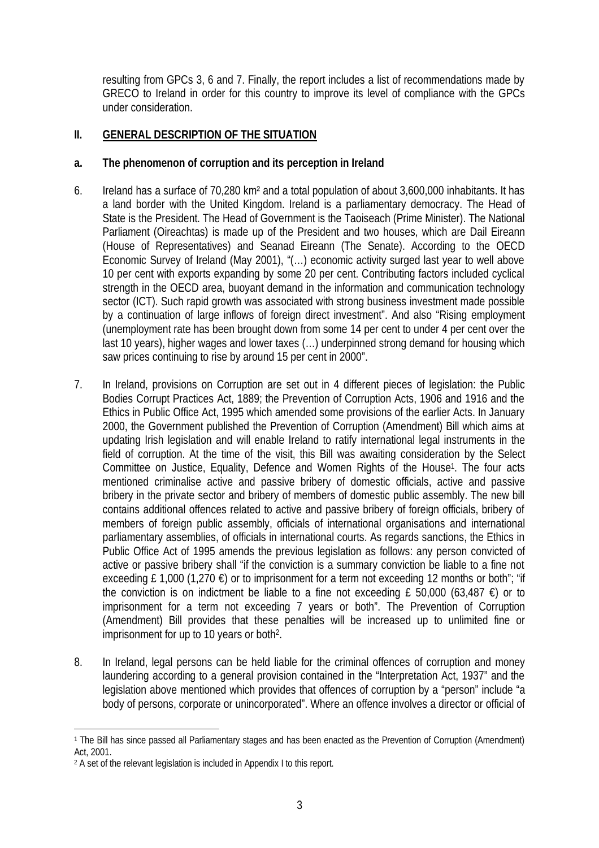resulting from GPCs 3, 6 and 7. Finally, the report includes a list of recommendations made by GRECO to Ireland in order for this country to improve its level of compliance with the GPCs under consideration.

# **II. GENERAL DESCRIPTION OF THE SITUATION**

# **a. The phenomenon of corruption and its perception in Ireland**

- 6. Ireland has a surface of 70,280 km² and a total population of about 3,600,000 inhabitants. It has a land border with the United Kingdom. Ireland is a parliamentary democracy. The Head of State is the President. The Head of Government is the Taoiseach (Prime Minister). The National Parliament (Oireachtas) is made up of the President and two houses, which are Dail Eireann (House of Representatives) and Seanad Eireann (The Senate). According to the OECD Economic Survey of Ireland (May 2001), "(… ) economic activity surged last year to well above 10 per cent with exports expanding by some 20 per cent. Contributing factors included cyclical strength in the OECD area, buoyant demand in the information and communication technology sector (ICT). Such rapid growth was associated with strong business investment made possible by a continuation of large inflows of foreign direct investment". And also "Rising employment (unemployment rate has been brought down from some 14 per cent to under 4 per cent over the last 10 years), higher wages and lower taxes (… ) underpinned strong demand for housing which saw prices continuing to rise by around 15 per cent in 2000".
- 7. In Ireland, provisions on Corruption are set out in 4 different pieces of legislation: the Public Bodies Corrupt Practices Act, 1889; the Prevention of Corruption Acts, 1906 and 1916 and the Ethics in Public Office Act, 1995 which amended some provisions of the earlier Acts. In January 2000, the Government published the Prevention of Corruption (Amendment) Bill which aims at updating Irish legislation and will enable Ireland to ratify international legal instruments in the field of corruption. At the time of the visit, this Bill was awaiting consideration by the Select Committee on Justice, Equality, Defence and Women Rights of the House<sup>1</sup>. The four acts mentioned criminalise active and passive bribery of domestic officials, active and passive bribery in the private sector and bribery of members of domestic public assembly. The new bill contains additional offences related to active and passive bribery of foreign officials, bribery of members of foreign public assembly, officials of international organisations and international parliamentary assemblies, of officials in international courts. As regards sanctions, the Ethics in Public Office Act of 1995 amends the previous legislation as follows: any person convicted of active or passive bribery shall "if the conviction is a summary conviction be liable to a fine not exceeding £ 1,000 (1,270  $\epsilon$ ) or to imprisonment for a term not exceeding 12 months or both"; "if the conviction is on indictment be liable to a fine not exceeding £ 50,000 (63,487  $\epsilon$ ) or to imprisonment for a term not exceeding 7 years or both". The Prevention of Corruption (Amendment) Bill provides that these penalties will be increased up to unlimited fine or imprisonment for up to 10 years or both<sup>2</sup> .
- 8. In Ireland, legal persons can be held liable for the criminal offences of corruption and money laundering according to a general provision contained in the "Interpretation Act, 1937" and the legislation above mentioned which provides that offences of corruption by a "person" include "a body of persons, corporate or unincorporated". Where an offence involves a director or official of

 $\overline{a}$ 1 The Bill has since passed all Parliamentary stages and has been enacted as the Prevention of Corruption (Amendment) Act, 2001.

<sup>2</sup> A set of the relevant legislation is included in Appendix I to this report.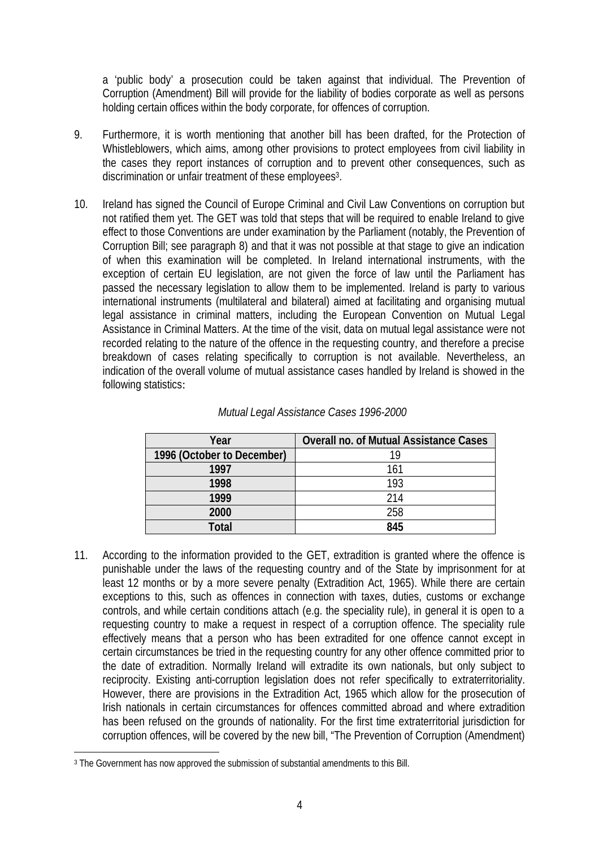a 'public body' a prosecution could be taken against that individual. The Prevention of Corruption (Amendment) Bill will provide for the liability of bodies corporate as well as persons holding certain offices within the body corporate, for offences of corruption.

- 9. Furthermore, it is worth mentioning that another bill has been drafted, for the Protection of Whistleblowers, which aims, among other provisions to protect employees from civil liability in the cases they report instances of corruption and to prevent other consequences, such as discrimination or unfair treatment of these employees<sup>3</sup>.
- 10. Ireland has signed the Council of Europe Criminal and Civil Law Conventions on corruption but not ratified them yet. The GET was told that steps that will be required to enable Ireland to give effect to those Conventions are under examination by the Parliament (notably, the Prevention of Corruption Bill; see paragraph 8) and that it was not possible at that stage to give an indication of when this examination will be completed. In Ireland international instruments, with the exception of certain EU legislation, are not given the force of law until the Parliament has passed the necessary legislation to allow them to be implemented. Ireland is party to various international instruments (multilateral and bilateral) aimed at facilitating and organising mutual legal assistance in criminal matters, including the European Convention on Mutual Legal Assistance in Criminal Matters. At the time of the visit, data on mutual legal assistance were not recorded relating to the nature of the offence in the requesting country, and therefore a precise breakdown of cases relating specifically to corruption is not available. Nevertheless, an indication of the overall volume of mutual assistance cases handled by Ireland is showed in the following statistics:

| Year                       | <b>Overall no. of Mutual Assistance Cases</b> |
|----------------------------|-----------------------------------------------|
| 1996 (October to December) |                                               |
| 1997                       | 161                                           |
| 1998                       | 193                                           |
| 1999                       | 214                                           |
| 2000                       | 258                                           |
| <b>Total</b>               | 845                                           |

*Mutual Legal Assistance Cases 1996-2000*

11. According to the information provided to the GET, extradition is granted where the offence is punishable under the laws of the requesting country and of the State by imprisonment for at least 12 months or by a more severe penalty (Extradition Act, 1965). While there are certain exceptions to this, such as offences in connection with taxes, duties, customs or exchange controls, and while certain conditions attach (e.g. the speciality rule), in general it is open to a requesting country to make a request in respect of a corruption offence. The speciality rule effectively means that a person who has been extradited for one offence cannot except in certain circumstances be tried in the requesting country for any other offence committed prior to the date of extradition. Normally Ireland will extradite its own nationals, but only subject to reciprocity. Existing anti-corruption legislation does not refer specifically to extraterritoriality. However, there are provisions in the Extradition Act, 1965 which allow for the prosecution of Irish nationals in certain circumstances for offences committed abroad and where extradition has been refused on the grounds of nationality. For the first time extraterritorial jurisdiction for corruption offences, will be covered by the new bill, "The Prevention of Corruption (Amendment)  $\overline{a}$ 

<sup>&</sup>lt;sup>3</sup> The Government has now approved the submission of substantial amendments to this Bill.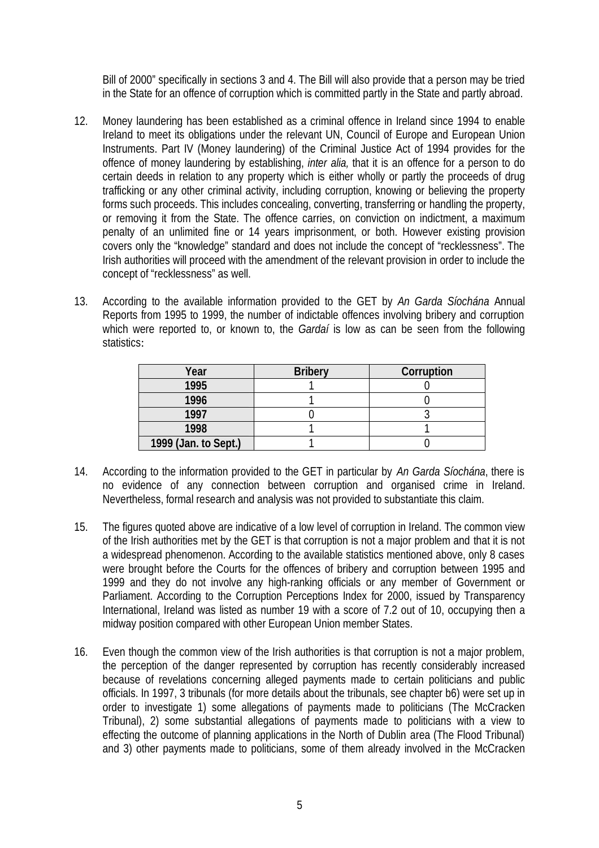Bill of 2000" specifically in sections 3 and 4. The Bill will also provide that a person may be tried in the State for an offence of corruption which is committed partly in the State and partly abroad.

- 12. Money laundering has been established as a criminal offence in Ireland since 1994 to enable Ireland to meet its obligations under the relevant UN, Council of Europe and European Union Instruments. Part IV (Money laundering) of the Criminal Justice Act of 1994 provides for the offence of money laundering by establishing, *inter alia,* that it is an offence for a person to do certain deeds in relation to any property which is either wholly or partly the proceeds of drug trafficking or any other criminal activity, including corruption, knowing or believing the property forms such proceeds. This includes concealing, converting, transferring or handling the property, or removing it from the State. The offence carries, on conviction on indictment, a maximum penalty of an unlimited fine or 14 years imprisonment, or both. However existing provision covers only the "knowledge" standard and does not include the concept of "recklessness". The Irish authorities will proceed with the amendment of the relevant provision in order to include the concept of "recklessness" as well.
- 13. According to the available information provided to the GET by *An Garda Síochána* Annual Reports from 1995 to 1999, the number of indictable offences involving bribery and corruption which were reported to, or known to, the *Gardaí* is low as can be seen from the following statistics:

| Year                 | <b>Bribery</b> | Corruption |
|----------------------|----------------|------------|
| 1995                 |                |            |
| 1996                 |                |            |
| 1997                 |                |            |
| 1998                 |                |            |
| 1999 (Jan. to Sept.) |                |            |

- 14. According to the information provided to the GET in particular by *An Garda Síochána*, there is no evidence of any connection between corruption and organised crime in Ireland. Nevertheless, formal research and analysis was not provided to substantiate this claim.
- 15. The figures quoted above are indicative of a low level of corruption in Ireland. The common view of the Irish authorities met by the GET is that corruption is not a major problem and that it is not a widespread phenomenon. According to the available statistics mentioned above, only 8 cases were brought before the Courts for the offences of bribery and corruption between 1995 and 1999 and they do not involve any high-ranking officials or any member of Government or Parliament. According to the Corruption Perceptions Index for 2000, issued by Transparency International, Ireland was listed as number 19 with a score of 7.2 out of 10, occupying then a midway position compared with other European Union member States.
- 16. Even though the common view of the Irish authorities is that corruption is not a major problem, the perception of the danger represented by corruption has recently considerably increased because of revelations concerning alleged payments made to certain politicians and public officials. In 1997, 3 tribunals (for more details about the tribunals, see chapter b6) were set up in order to investigate 1) some allegations of payments made to politicians (The McCracken Tribunal), 2) some substantial allegations of payments made to politicians with a view to effecting the outcome of planning applications in the North of Dublin area (The Flood Tribunal) and 3) other payments made to politicians, some of them already involved in the McCracken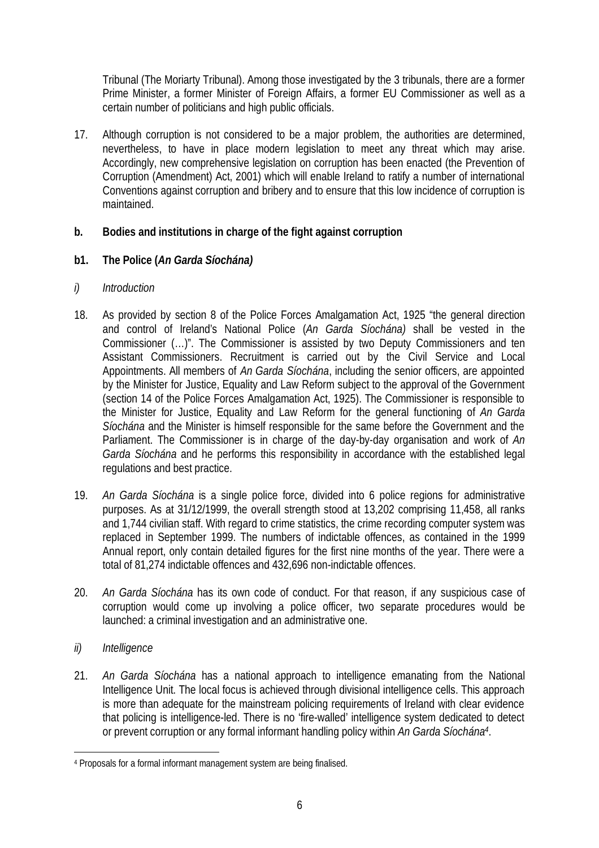Tribunal (The Moriarty Tribunal). Among those investigated by the 3 tribunals, there are a former Prime Minister, a former Minister of Foreign Affairs, a former EU Commissioner as well as a certain number of politicians and high public officials.

17. Although corruption is not considered to be a major problem, the authorities are determined, nevertheless, to have in place modern legislation to meet any threat which may arise. Accordingly, new comprehensive legislation on corruption has been enacted (the Prevention of Corruption (Amendment) Act, 2001) which will enable Ireland to ratify a number of international Conventions against corruption and bribery and to ensure that this low incidence of corruption is maintained.

# **b. Bodies and institutions in charge of the fight against corruption**

# **b1. The Police (***An Garda Síochána)*

- *i) Introduction*
- 18. As provided by section 8 of the Police Forces Amalgamation Act, 1925 "the general direction and control of Ireland's National Police (*An Garda Síochána)* shall be vested in the Commissioner (… )". The Commissioner is assisted by two Deputy Commissioners and ten Assistant Commissioners. Recruitment is carried out by the Civil Service and Local Appointments. All members of *An Garda Síochána*, including the senior officers, are appointed by the Minister for Justice, Equality and Law Reform subject to the approval of the Government (section 14 of the Police Forces Amalgamation Act, 1925). The Commissioner is responsible to the Minister for Justice, Equality and Law Reform for the general functioning of *An Garda Síochána* and the Minister is himself responsible for the same before the Government and the Parliament. The Commissioner is in charge of the day-by-day organisation and work of *An Garda Síochána* and he performs this responsibility in accordance with the established legal regulations and best practice.
- 19. *An Garda Síochána* is a single police force, divided into 6 police regions for administrative purposes. As at 31/12/1999, the overall strength stood at 13,202 comprising 11,458, all ranks and 1,744 civilian staff. With regard to crime statistics, the crime recording computer system was replaced in September 1999. The numbers of indictable offences, as contained in the 1999 Annual report, only contain detailed figures for the first nine months of the year. There were a total of 81,274 indictable offences and 432,696 non-indictable offences.
- 20. *An Garda Síochána* has its own code of conduct. For that reason, if any suspicious case of corruption would come up involving a police officer, two separate procedures would be launched: a criminal investigation and an administrative one.
- *ii) Intelligence*

 $\overline{a}$ 

21. *An Garda Síochána* has a national approach to intelligence emanating from the National Intelligence Unit. The local focus is achieved through divisional intelligence cells. This approach is more than adequate for the mainstream policing requirements of Ireland with clear evidence that policing is intelligence-led. There is no 'fire-walled' intelligence system dedicated to detect or prevent corruption or any formal informant handling policy within *An Garda Síochána<sup>4</sup>* .

<sup>4</sup> Proposals for a formal informant management system are being finalised.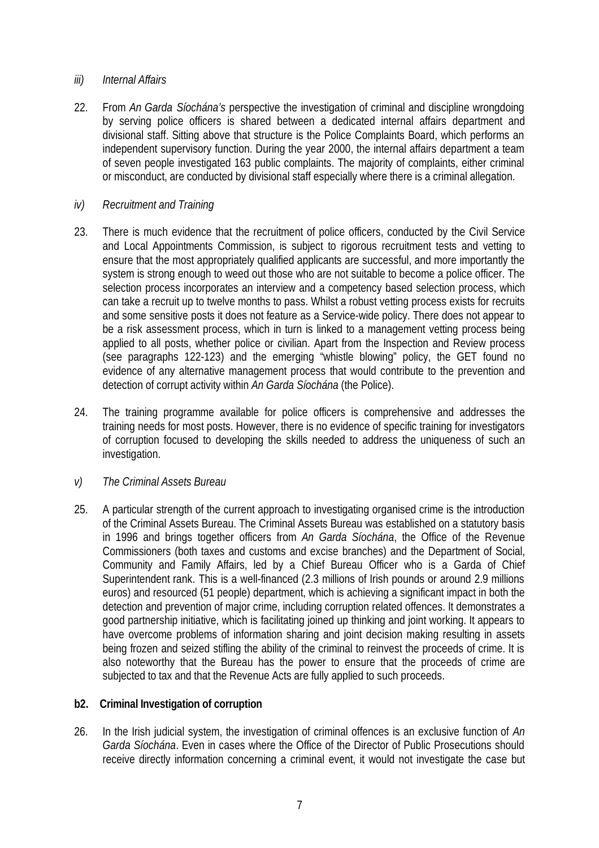#### *iii) Internal Affairs*

22. From *An Garda Síochána's* perspective the investigation of criminal and discipline wrongdoing by serving police officers is shared between a dedicated internal affairs department and divisional staff. Sitting above that structure is the Police Complaints Board, which performs an independent supervisory function. During the year 2000, the internal affairs department a team of seven people investigated 163 public complaints. The majority of complaints, either criminal or misconduct, are conducted by divisional staff especially where there is a criminal allegation.

### *iv) Recruitment and Training*

- 23. There is much evidence that the recruitment of police officers, conducted by the Civil Service and Local Appointments Commission, is subject to rigorous recruitment tests and vetting to ensure that the most appropriately qualified applicants are successful, and more importantly the system is strong enough to weed out those who are not suitable to become a police officer. The selection process incorporates an interview and a competency based selection process, which can take a recruit up to twelve months to pass. Whilst a robust vetting process exists for recruits and some sensitive posts it does not feature as a Service-wide policy. There does not appear to be a risk assessment process, which in turn is linked to a management vetting process being applied to all posts, whether police or civilian. Apart from the Inspection and Review process (see paragraphs 122-123) and the emerging "whistle blowing" policy, the GET found no evidence of any alternative management process that would contribute to the prevention and detection of corrupt activity within *An Garda Síochána* (the Police).
- 24. The training programme available for police officers is comprehensive and addresses the training needs for most posts. However, there is no evidence of specific training for investigators of corruption focused to developing the skills needed to address the uniqueness of such an investigation.
- *v) The Criminal Assets Bureau*
- 25. A particular strength of the current approach to investigating organised crime is the introduction of the Criminal Assets Bureau. The Criminal Assets Bureau was established on a statutory basis in 1996 and brings together officers from *An Garda Síochána*, the Office of the Revenue Commissioners (both taxes and customs and excise branches) and the Department of Social, Community and Family Affairs, led by a Chief Bureau Officer who is a Garda of Chief Superintendent rank. This is a well-financed (2.3 millions of Irish pounds or around 2.9 millions euros) and resourced (51 people) department, which is achieving a significant impact in both the detection and prevention of major crime, including corruption related offences. It demonstrates a good partnership initiative, which is facilitating joined up thinking and joint working. It appears to have overcome problems of information sharing and joint decision making resulting in assets being frozen and seized stifling the ability of the criminal to reinvest the proceeds of crime. It is also noteworthy that the Bureau has the power to ensure that the proceeds of crime are subjected to tax and that the Revenue Acts are fully applied to such proceeds.

# **b2. Criminal Investigation of corruption**

26. In the Irish judicial system, the investigation of criminal offences is an exclusive function of *An Garda Síochána*. Even in cases where the Office of the Director of Public Prosecutions should receive directly information concerning a criminal event, it would not investigate the case but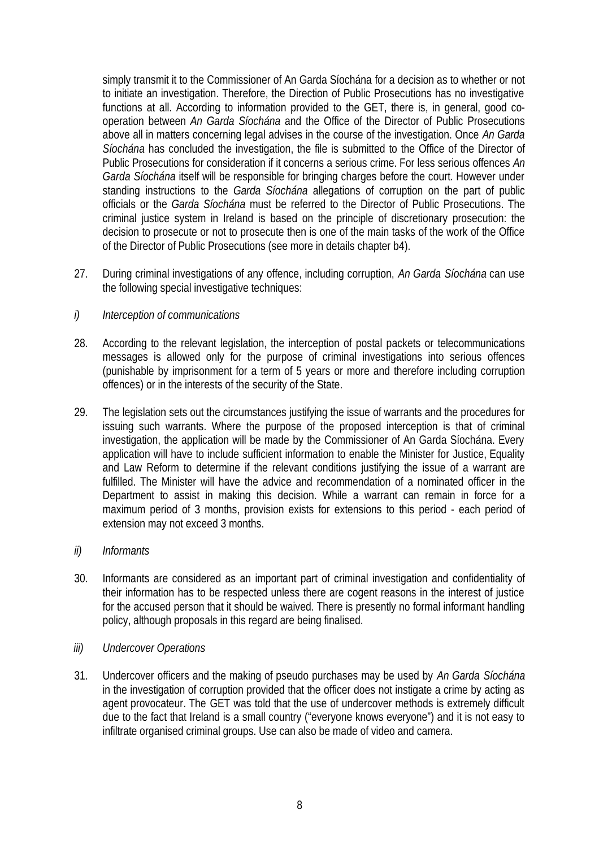simply transmit it to the Commissioner of An Garda Síochána for a decision as to whether or not to initiate an investigation. Therefore, the Direction of Public Prosecutions has no investigative functions at all. According to information provided to the GET, there is, in general, good cooperation between *An Garda Síochána* and the Office of the Director of Public Prosecutions above all in matters concerning legal advises in the course of the investigation. Once *An Garda Síochána* has concluded the investigation, the file is submitted to the Office of the Director of Public Prosecutions for consideration if it concerns a serious crime. For less serious offences *An Garda Síochána* itself will be responsible for bringing charges before the court. However under standing instructions to the *Garda Síochána* allegations of corruption on the part of public officials or the *Garda Síochána* must be referred to the Director of Public Prosecutions. The criminal justice system in Ireland is based on the principle of discretionary prosecution: the decision to prosecute or not to prosecute then is one of the main tasks of the work of the Office of the Director of Public Prosecutions (see more in details chapter b4).

27. During criminal investigations of any offence, including corruption, *An Garda Síochána* can use the following special investigative techniques:

#### *i) Interception of communications*

- 28. According to the relevant legislation, the interception of postal packets or telecommunications messages is allowed only for the purpose of criminal investigations into serious offences (punishable by imprisonment for a term of 5 years or more and therefore including corruption offences) or in the interests of the security of the State.
- 29. The legislation sets out the circumstances justifying the issue of warrants and the procedures for issuing such warrants. Where the purpose of the proposed interception is that of criminal investigation, the application will be made by the Commissioner of An Garda Síochána. Every application will have to include sufficient information to enable the Minister for Justice, Equality and Law Reform to determine if the relevant conditions justifying the issue of a warrant are fulfilled. The Minister will have the advice and recommendation of a nominated officer in the Department to assist in making this decision. While a warrant can remain in force for a maximum period of 3 months, provision exists for extensions to this period - each period of extension may not exceed 3 months.

#### *ii) Informants*

30. Informants are considered as an important part of criminal investigation and confidentiality of their information has to be respected unless there are cogent reasons in the interest of justice for the accused person that it should be waived. There is presently no formal informant handling policy, although proposals in this regard are being finalised.

#### *iii) Undercover Operations*

31. Undercover officers and the making of pseudo purchases may be used by *An Garda Síochána* in the investigation of corruption provided that the officer does not instigate a crime by acting as agent provocateur. The GET was told that the use of undercover methods is extremely difficult due to the fact that Ireland is a small country ("everyone knows everyone") and it is not easy to infiltrate organised criminal groups. Use can also be made of video and camera.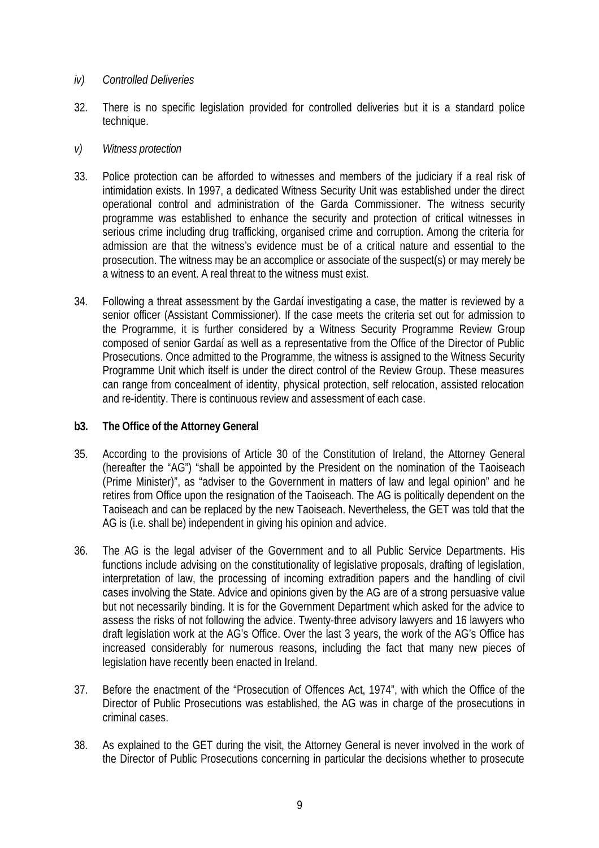### *iv) Controlled Deliveries*

- 32. There is no specific legislation provided for controlled deliveries but it is a standard police technique.
- *v) Witness protection*
- 33. Police protection can be afforded to witnesses and members of the judiciary if a real risk of intimidation exists. In 1997, a dedicated Witness Security Unit was established under the direct operational control and administration of the Garda Commissioner. The witness security programme was established to enhance the security and protection of critical witnesses in serious crime including drug trafficking, organised crime and corruption. Among the criteria for admission are that the witness's evidence must be of a critical nature and essential to the prosecution. The witness may be an accomplice or associate of the suspect(s) or may merely be a witness to an event. A real threat to the witness must exist.
- 34. Following a threat assessment by the Gardaí investigating a case, the matter is reviewed by a senior officer (Assistant Commissioner). If the case meets the criteria set out for admission to the Programme, it is further considered by a Witness Security Programme Review Group composed of senior Gardaí as well as a representative from the Office of the Director of Public Prosecutions. Once admitted to the Programme, the witness is assigned to the Witness Security Programme Unit which itself is under the direct control of the Review Group. These measures can range from concealment of identity, physical protection, self relocation, assisted relocation and re-identity. There is continuous review and assessment of each case.

## **b3. The Office of the Attorney General**

- 35. According to the provisions of Article 30 of the Constitution of Ireland, the Attorney General (hereafter the "AG") "shall be appointed by the President on the nomination of the Taoiseach (Prime Minister)", as "adviser to the Government in matters of law and legal opinion" and he retires from Office upon the resignation of the Taoiseach. The AG is politically dependent on the Taoiseach and can be replaced by the new Taoiseach. Nevertheless, the GET was told that the AG is (i.e. shall be) independent in giving his opinion and advice.
- 36. The AG is the legal adviser of the Government and to all Public Service Departments. His functions include advising on the constitutionality of legislative proposals, drafting of legislation, interpretation of law, the processing of incoming extradition papers and the handling of civil cases involving the State. Advice and opinions given by the AG are of a strong persuasive value but not necessarily binding. It is for the Government Department which asked for the advice to assess the risks of not following the advice. Twenty-three advisory lawyers and 16 lawyers who draft legislation work at the AG's Office. Over the last 3 years, the work of the AG's Office has increased considerably for numerous reasons, including the fact that many new pieces of legislation have recently been enacted in Ireland.
- 37. Before the enactment of the "Prosecution of Offences Act, 1974", with which the Office of the Director of Public Prosecutions was established, the AG was in charge of the prosecutions in criminal cases.
- 38. As explained to the GET during the visit, the Attorney General is never involved in the work of the Director of Public Prosecutions concerning in particular the decisions whether to prosecute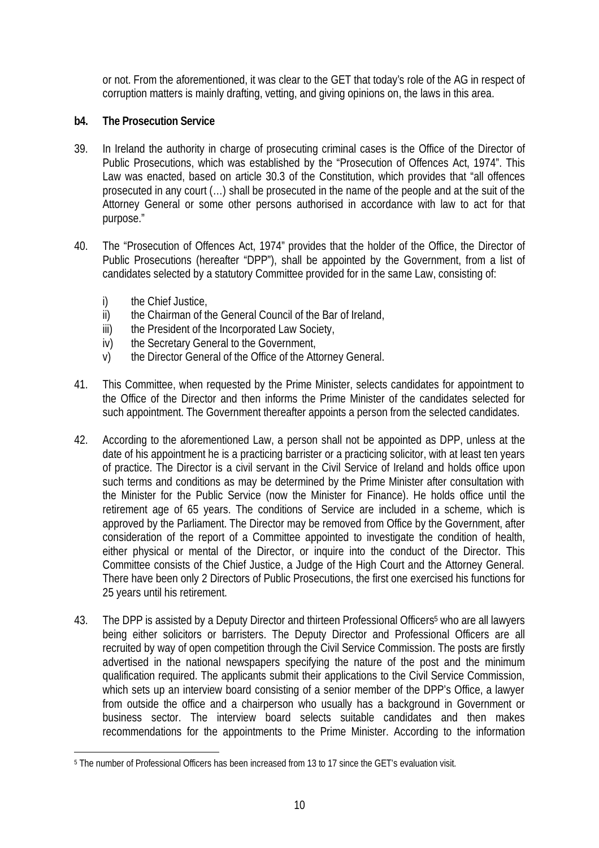or not. From the aforementioned, it was clear to the GET that today's role of the AG in respect of corruption matters is mainly drafting, vetting, and giving opinions on, the laws in this area.

# **b4. The Prosecution Service**

- 39. In Ireland the authority in charge of prosecuting criminal cases is the Office of the Director of Public Prosecutions, which was established by the "Prosecution of Offences Act, 1974". This Law was enacted, based on article 30.3 of the Constitution, which provides that "all offences prosecuted in any court (… ) shall be prosecuted in the name of the people and at the suit of the Attorney General or some other persons authorised in accordance with law to act for that purpose."
- 40. The "Prosecution of Offences Act, 1974" provides that the holder of the Office, the Director of Public Prosecutions (hereafter "DPP"), shall be appointed by the Government, from a list of candidates selected by a statutory Committee provided for in the same Law, consisting of:
	- i) the Chief Justice,
	- ii) the Chairman of the General Council of the Bar of Ireland.
	- iii) the President of the Incorporated Law Society,
	- iv) the Secretary General to the Government,
	- v) the Director General of the Office of the Attorney General.
- 41. This Committee, when requested by the Prime Minister, selects candidates for appointment to the Office of the Director and then informs the Prime Minister of the candidates selected for such appointment. The Government thereafter appoints a person from the selected candidates.
- 42. According to the aforementioned Law, a person shall not be appointed as DPP, unless at the date of his appointment he is a practicing barrister or a practicing solicitor, with at least ten years of practice. The Director is a civil servant in the Civil Service of Ireland and holds office upon such terms and conditions as may be determined by the Prime Minister after consultation with the Minister for the Public Service (now the Minister for Finance). He holds office until the retirement age of 65 years. The conditions of Service are included in a scheme, which is approved by the Parliament. The Director may be removed from Office by the Government, after consideration of the report of a Committee appointed to investigate the condition of health, either physical or mental of the Director, or inquire into the conduct of the Director. This Committee consists of the Chief Justice, a Judge of the High Court and the Attorney General. There have been only 2 Directors of Public Prosecutions, the first one exercised his functions for 25 years until his retirement.
- 43. The DPP is assisted by a Deputy Director and thirteen Professional Officers<sup>5</sup> who are all lawyers being either solicitors or barristers. The Deputy Director and Professional Officers are all recruited by way of open competition through the Civil Service Commission. The posts are firstly advertised in the national newspapers specifying the nature of the post and the minimum qualification required. The applicants submit their applications to the Civil Service Commission, which sets up an interview board consisting of a senior member of the DPP's Office, a lawyer from outside the office and a chairperson who usually has a background in Government or business sector. The interview board selects suitable candidates and then makes recommendations for the appointments to the Prime Minister. According to the information

 $\overline{a}$ 5 The number of Professional Officers has been increased from 13 to 17 since the GET's evaluation visit.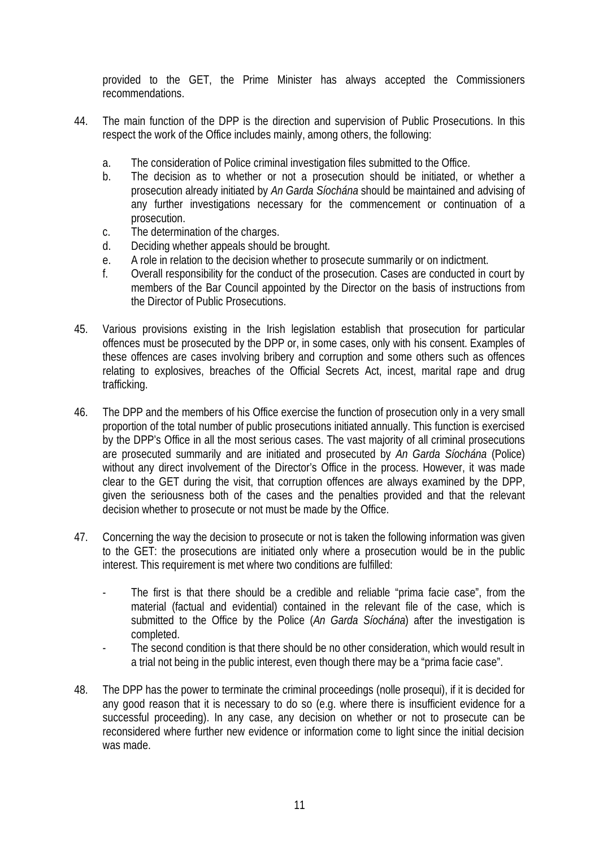provided to the GET, the Prime Minister has always accepted the Commissioners recommendations.

- 44. The main function of the DPP is the direction and supervision of Public Prosecutions. In this respect the work of the Office includes mainly, among others, the following:
	- a. The consideration of Police criminal investigation files submitted to the Office.
	- b. The decision as to whether or not a prosecution should be initiated, or whether a prosecution already initiated by *An Garda Síochána* should be maintained and advising of any further investigations necessary for the commencement or continuation of a prosecution.
	- c. The determination of the charges.
	- d. Deciding whether appeals should be brought.
	- e. A role in relation to the decision whether to prosecute summarily or on indictment.
	- f. Overall responsibility for the conduct of the prosecution. Cases are conducted in court by members of the Bar Council appointed by the Director on the basis of instructions from the Director of Public Prosecutions.
- 45. Various provisions existing in the Irish legislation establish that prosecution for particular offences must be prosecuted by the DPP or, in some cases, only with his consent. Examples of these offences are cases involving bribery and corruption and some others such as offences relating to explosives, breaches of the Official Secrets Act, incest, marital rape and drug trafficking.
- 46. The DPP and the members of his Office exercise the function of prosecution only in a very small proportion of the total number of public prosecutions initiated annually. This function is exercised by the DPP's Office in all the most serious cases. The vast majority of all criminal prosecutions are prosecuted summarily and are initiated and prosecuted by *An Garda Síochána* (Police) without any direct involvement of the Director's Office in the process. However, it was made clear to the GET during the visit, that corruption offences are always examined by the DPP, given the seriousness both of the cases and the penalties provided and that the relevant decision whether to prosecute or not must be made by the Office.
- 47. Concerning the way the decision to prosecute or not is taken the following information was given to the GET: the prosecutions are initiated only where a prosecution would be in the public interest. This requirement is met where two conditions are fulfilled:
	- The first is that there should be a credible and reliable "prima facie case", from the material (factual and evidential) contained in the relevant file of the case, which is submitted to the Office by the Police (*An Garda Síochána*) after the investigation is completed.
	- The second condition is that there should be no other consideration, which would result in a trial not being in the public interest, even though there may be a "prima facie case".
- 48. The DPP has the power to terminate the criminal proceedings (nolle prosequi), if it is decided for any good reason that it is necessary to do so (e.g. where there is insufficient evidence for a successful proceeding). In any case, any decision on whether or not to prosecute can be reconsidered where further new evidence or information come to light since the initial decision was made.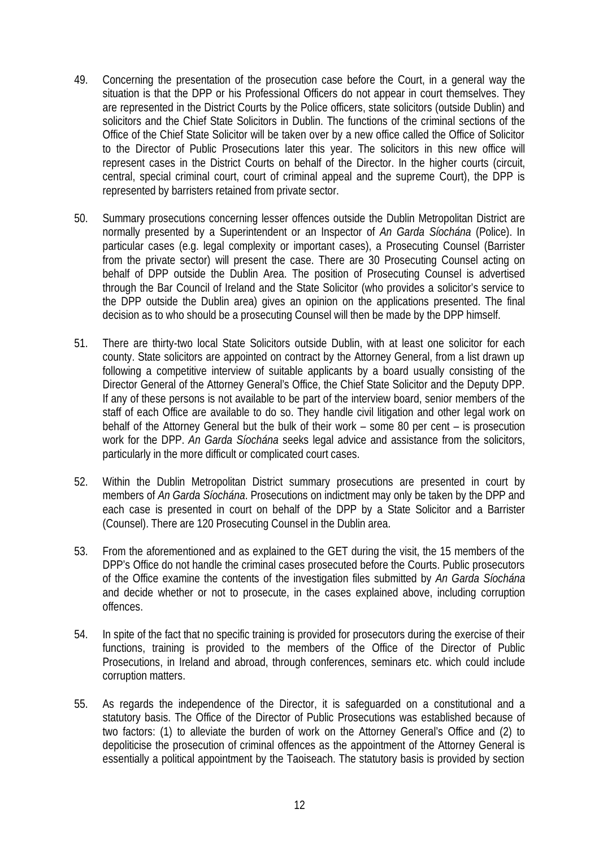- 49. Concerning the presentation of the prosecution case before the Court, in a general way the situation is that the DPP or his Professional Officers do not appear in court themselves. They are represented in the District Courts by the Police officers, state solicitors (outside Dublin) and solicitors and the Chief State Solicitors in Dublin. The functions of the criminal sections of the Office of the Chief State Solicitor will be taken over by a new office called the Office of Solicitor to the Director of Public Prosecutions later this year. The solicitors in this new office will represent cases in the District Courts on behalf of the Director. In the higher courts (circuit, central, special criminal court, court of criminal appeal and the supreme Court), the DPP is represented by barristers retained from private sector.
- 50. Summary prosecutions concerning lesser offences outside the Dublin Metropolitan District are normally presented by a Superintendent or an Inspector of *An Garda Síochána* (Police). In particular cases (e.g. legal complexity or important cases), a Prosecuting Counsel (Barrister from the private sector) will present the case. There are 30 Prosecuting Counsel acting on behalf of DPP outside the Dublin Area. The position of Prosecuting Counsel is advertised through the Bar Council of Ireland and the State Solicitor (who provides a solicitor's service to the DPP outside the Dublin area) gives an opinion on the applications presented. The final decision as to who should be a prosecuting Counsel will then be made by the DPP himself.
- 51. There are thirty-two local State Solicitors outside Dublin, with at least one solicitor for each county. State solicitors are appointed on contract by the Attorney General, from a list drawn up following a competitive interview of suitable applicants by a board usually consisting of the Director General of the Attorney General's Office, the Chief State Solicitor and the Deputy DPP. If any of these persons is not available to be part of the interview board, senior members of the staff of each Office are available to do so. They handle civil litigation and other legal work on behalf of the Attorney General but the bulk of their work – some 80 per cent – is prosecution work for the DPP. *An Garda Síochána* seeks legal advice and assistance from the solicitors, particularly in the more difficult or complicated court cases.
- 52. Within the Dublin Metropolitan District summary prosecutions are presented in court by members of *An Garda Síochána*. Prosecutions on indictment may only be taken by the DPP and each case is presented in court on behalf of the DPP by a State Solicitor and a Barrister (Counsel). There are 120 Prosecuting Counsel in the Dublin area.
- 53. From the aforementioned and as explained to the GET during the visit, the 15 members of the DPP's Office do not handle the criminal cases prosecuted before the Courts. Public prosecutors of the Office examine the contents of the investigation files submitted by *An Garda Síochána* and decide whether or not to prosecute, in the cases explained above, including corruption offences.
- 54. In spite of the fact that no specific training is provided for prosecutors during the exercise of their functions, training is provided to the members of the Office of the Director of Public Prosecutions, in Ireland and abroad, through conferences, seminars etc. which could include corruption matters.
- 55. As regards the independence of the Director, it is safeguarded on a constitutional and a statutory basis. The Office of the Director of Public Prosecutions was established because of two factors: (1) to alleviate the burden of work on the Attorney General's Office and (2) to depoliticise the prosecution of criminal offences as the appointment of the Attorney General is essentially a political appointment by the Taoiseach. The statutory basis is provided by section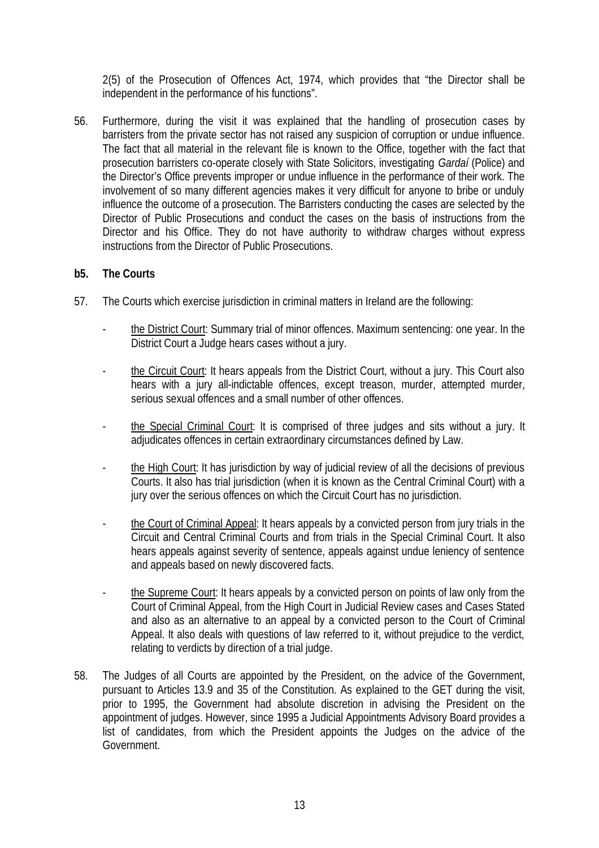2(5) of the Prosecution of Offences Act, 1974, which provides that "the Director shall be independent in the performance of his functions".

56. Furthermore, during the visit it was explained that the handling of prosecution cases by barristers from the private sector has not raised any suspicion of corruption or undue influence. The fact that all material in the relevant file is known to the Office, together with the fact that prosecution barristers co-operate closely with State Solicitors, investigating *Gardaí* (Police) and the Director's Office prevents improper or undue influence in the performance of their work. The involvement of so many different agencies makes it very difficult for anyone to bribe or unduly influence the outcome of a prosecution. The Barristers conducting the cases are selected by the Director of Public Prosecutions and conduct the cases on the basis of instructions from the Director and his Office. They do not have authority to withdraw charges without express instructions from the Director of Public Prosecutions.

#### **b5. The Courts**

- 57. The Courts which exercise jurisdiction in criminal matters in Ireland are the following:
	- the District Court: Summary trial of minor offences. Maximum sentencing: one year. In the District Court a Judge hears cases without a jury.
	- the Circuit Court: It hears appeals from the District Court, without a jury. This Court also hears with a jury all-indictable offences, except treason, murder, attempted murder, serious sexual offences and a small number of other offences.
	- the Special Criminal Court: It is comprised of three judges and sits without a jury. It adjudicates offences in certain extraordinary circumstances defined by Law.
	- the High Court: It has jurisdiction by way of judicial review of all the decisions of previous Courts. It also has trial jurisdiction (when it is known as the Central Criminal Court) with a jury over the serious offences on which the Circuit Court has no jurisdiction.
	- the Court of Criminal Appeal: It hears appeals by a convicted person from jury trials in the Circuit and Central Criminal Courts and from trials in the Special Criminal Court. It also hears appeals against severity of sentence, appeals against undue leniency of sentence and appeals based on newly discovered facts.
	- the Supreme Court: It hears appeals by a convicted person on points of law only from the Court of Criminal Appeal, from the High Court in Judicial Review cases and Cases Stated and also as an alternative to an appeal by a convicted person to the Court of Criminal Appeal. It also deals with questions of law referred to it, without prejudice to the verdict, relating to verdicts by direction of a trial judge.
- 58. The Judges of all Courts are appointed by the President, on the advice of the Government, pursuant to Articles 13.9 and 35 of the Constitution. As explained to the GET during the visit, prior to 1995, the Government had absolute discretion in advising the President on the appointment of judges. However, since 1995 a Judicial Appointments Advisory Board provides a list of candidates, from which the President appoints the Judges on the advice of the Government.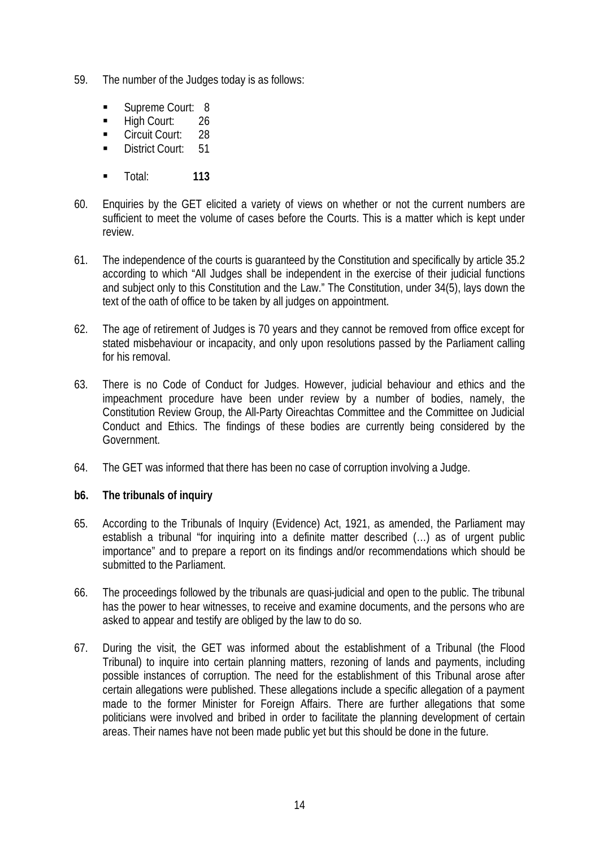- 59. The number of the Judges today is as follows:
	- ß Supreme Court: 8
	- **High Court:** 26
	- **Circuit Court: 28**
	- **District Court: 51**
	- ß Total: **113**
- 60. Enquiries by the GET elicited a variety of views on whether or not the current numbers are sufficient to meet the volume of cases before the Courts. This is a matter which is kept under review.
- 61. The independence of the courts is guaranteed by the Constitution and specifically by article 35.2 according to which "All Judges shall be independent in the exercise of their judicial functions and subject only to this Constitution and the Law." The Constitution, under 34(5), lays down the text of the oath of office to be taken by all judges on appointment.
- 62. The age of retirement of Judges is 70 years and they cannot be removed from office except for stated misbehaviour or incapacity, and only upon resolutions passed by the Parliament calling for his removal.
- 63. There is no Code of Conduct for Judges. However, judicial behaviour and ethics and the impeachment procedure have been under review by a number of bodies, namely, the Constitution Review Group, the All-Party Oireachtas Committee and the Committee on Judicial Conduct and Ethics. The findings of these bodies are currently being considered by the Government.
- 64. The GET was informed that there has been no case of corruption involving a Judge.

#### **b6. The tribunals of inquiry**

- 65. According to the Tribunals of Inquiry (Evidence) Act, 1921, as amended, the Parliament may establish a tribunal "for inquiring into a definite matter described (… ) as of urgent public importance" and to prepare a report on its findings and/or recommendations which should be submitted to the Parliament.
- 66. The proceedings followed by the tribunals are quasi-judicial and open to the public. The tribunal has the power to hear witnesses, to receive and examine documents, and the persons who are asked to appear and testify are obliged by the law to do so.
- 67. During the visit, the GET was informed about the establishment of a Tribunal (the Flood Tribunal) to inquire into certain planning matters, rezoning of lands and payments, including possible instances of corruption. The need for the establishment of this Tribunal arose after certain allegations were published. These allegations include a specific allegation of a payment made to the former Minister for Foreign Affairs. There are further allegations that some politicians were involved and bribed in order to facilitate the planning development of certain areas. Their names have not been made public yet but this should be done in the future.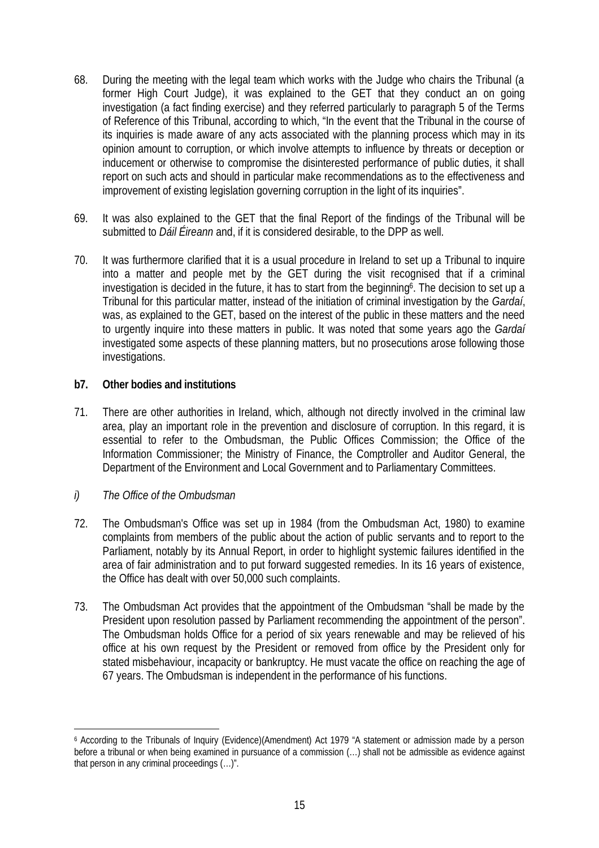- 68. During the meeting with the legal team which works with the Judge who chairs the Tribunal (a former High Court Judge), it was explained to the GET that they conduct an on going investigation (a fact finding exercise) and they referred particularly to paragraph 5 of the Terms of Reference of this Tribunal, according to which, "In the event that the Tribunal in the course of its inquiries is made aware of any acts associated with the planning process which may in its opinion amount to corruption, or which involve attempts to influence by threats or deception or inducement or otherwise to compromise the disinterested performance of public duties, it shall report on such acts and should in particular make recommendations as to the effectiveness and improvement of existing legislation governing corruption in the light of its inquiries".
- 69. It was also explained to the GET that the final Report of the findings of the Tribunal will be submitted to *Dáil Éireann* and, if it is considered desirable, to the DPP as well.
- 70. It was furthermore clarified that it is a usual procedure in Ireland to set up a Tribunal to inquire into a matter and people met by the GET during the visit recognised that if a criminal investigation is decided in the future, it has to start from the beginning<sup>6</sup>. The decision to set up a Tribunal for this particular matter, instead of the initiation of criminal investigation by the *Gardaí*, was, as explained to the GET, based on the interest of the public in these matters and the need to urgently inquire into these matters in public. It was noted that some years ago the *Gardaí* investigated some aspects of these planning matters, but no prosecutions arose following those investigations.

#### **b7. Other bodies and institutions**

71. There are other authorities in Ireland, which, although not directly involved in the criminal law area, play an important role in the prevention and disclosure of corruption. In this regard, it is essential to refer to the Ombudsman, the Public Offices Commission; the Office of the Information Commissioner; the Ministry of Finance, the Comptroller and Auditor General, the Department of the Environment and Local Government and to Parliamentary Committees.

#### *i) The Office of the Ombudsman*

 $\overline{a}$ 

- 72. The Ombudsman's Office was set up in 1984 (from the Ombudsman Act, 1980) to examine complaints from members of the public about the action of public servants and to report to the Parliament, notably by its Annual Report, in order to highlight systemic failures identified in the area of fair administration and to put forward suggested remedies. In its 16 years of existence, the Office has dealt with over 50,000 such complaints.
- 73. The Ombudsman Act provides that the appointment of the Ombudsman "shall be made by the President upon resolution passed by Parliament recommending the appointment of the person". The Ombudsman holds Office for a period of six years renewable and may be relieved of his office at his own request by the President or removed from office by the President only for stated misbehaviour, incapacity or bankruptcy. He must vacate the office on reaching the age of 67 years. The Ombudsman is independent in the performance of his functions.

<sup>6</sup> According to the Tribunals of Inquiry (Evidence)(Amendment) Act 1979 "A statement or admission made by a person before a tribunal or when being examined in pursuance of a commission (… ) shall not be admissible as evidence against that person in any criminal proceedings (… )".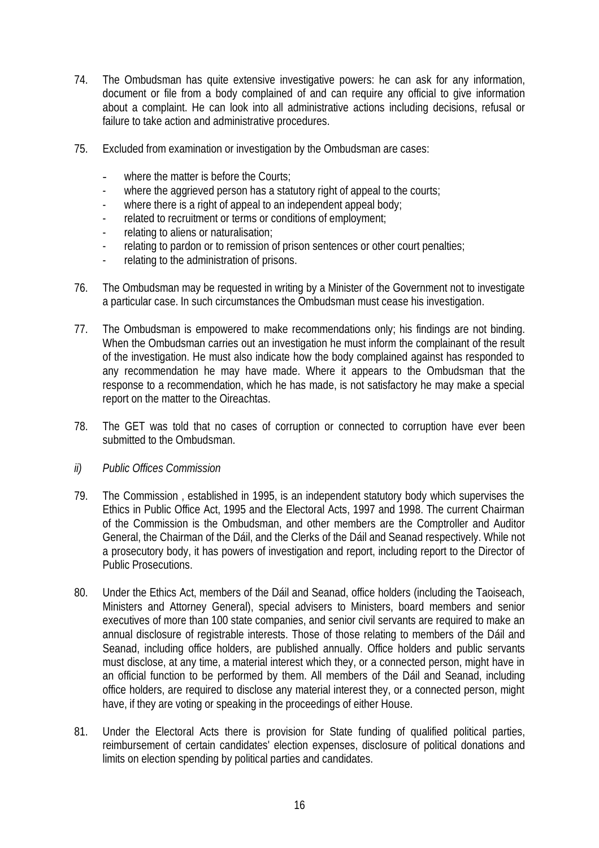- 74. The Ombudsman has quite extensive investigative powers: he can ask for any information, document or file from a body complained of and can require any official to give information about a complaint. He can look into all administrative actions including decisions, refusal or failure to take action and administrative procedures.
- 75. Excluded from examination or investigation by the Ombudsman are cases:
	- where the matter is before the Courts;
	- where the aggrieved person has a statutory right of appeal to the courts;
	- where there is a right of appeal to an independent appeal body;
	- related to recruitment or terms or conditions of employment;
	- relating to aliens or naturalisation;
	- relating to pardon or to remission of prison sentences or other court penalties;
	- relating to the administration of prisons.
- 76. The Ombudsman may be requested in writing by a Minister of the Government not to investigate a particular case. In such circumstances the Ombudsman must cease his investigation.
- 77. The Ombudsman is empowered to make recommendations only; his findings are not binding. When the Ombudsman carries out an investigation he must inform the complainant of the result of the investigation. He must also indicate how the body complained against has responded to any recommendation he may have made. Where it appears to the Ombudsman that the response to a recommendation, which he has made, is not satisfactory he may make a special report on the matter to the Oireachtas.
- 78. The GET was told that no cases of corruption or connected to corruption have ever been submitted to the Ombudsman.
- *ii) Public Offices Commission*
- 79. The Commission , established in 1995, is an independent statutory body which supervises the Ethics in Public Office Act, 1995 and the Electoral Acts, 1997 and 1998. The current Chairman of the Commission is the Ombudsman, and other members are the Comptroller and Auditor General, the Chairman of the Dáil, and the Clerks of the Dáil and Seanad respectively. While not a prosecutory body, it has powers of investigation and report, including report to the Director of Public Prosecutions.
- 80. Under the Ethics Act, members of the Dáil and Seanad, office holders (including the Taoiseach, Ministers and Attorney General), special advisers to Ministers, board members and senior executives of more than 100 state companies, and senior civil servants are required to make an annual disclosure of registrable interests. Those of those relating to members of the Dáil and Seanad, including office holders, are published annually. Office holders and public servants must disclose, at any time, a material interest which they, or a connected person, might have in an official function to be performed by them. All members of the Dáil and Seanad, including office holders, are required to disclose any material interest they, or a connected person, might have, if they are voting or speaking in the proceedings of either House.
- 81. Under the Electoral Acts there is provision for State funding of qualified political parties, reimbursement of certain candidates' election expenses, disclosure of political donations and limits on election spending by political parties and candidates.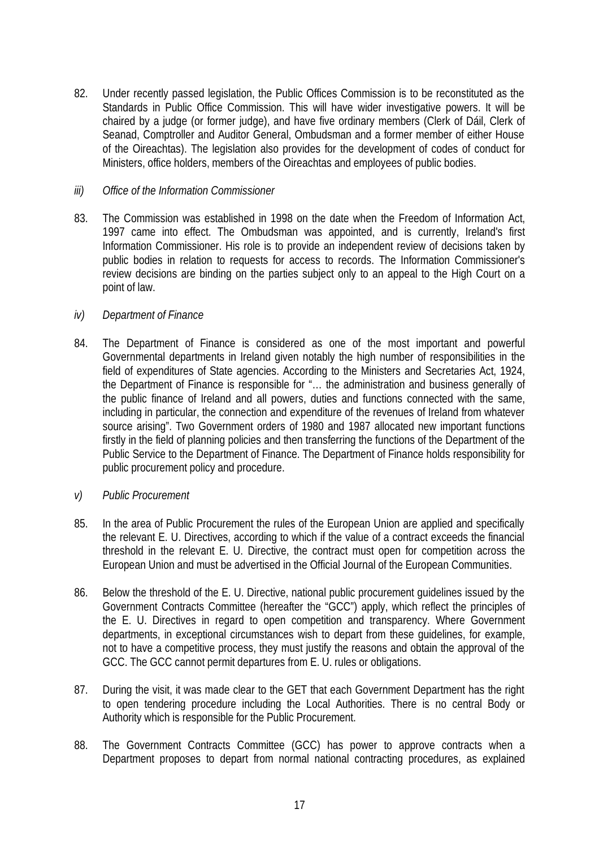82. Under recently passed legislation, the Public Offices Commission is to be reconstituted as the Standards in Public Office Commission. This will have wider investigative powers. It will be chaired by a judge (or former judge), and have five ordinary members (Clerk of Dáil, Clerk of Seanad, Comptroller and Auditor General, Ombudsman and a former member of either House of the Oireachtas). The legislation also provides for the development of codes of conduct for Ministers, office holders, members of the Oireachtas and employees of public bodies.

### *iii) Office of the Information Commissioner*

83. The Commission was established in 1998 on the date when the Freedom of Information Act, 1997 came into effect. The Ombudsman was appointed, and is currently, Ireland's first Information Commissioner. His role is to provide an independent review of decisions taken by public bodies in relation to requests for access to records. The Information Commissioner's review decisions are binding on the parties subject only to an appeal to the High Court on a point of law.

### *iv) Department of Finance*

- 84. The Department of Finance is considered as one of the most important and powerful Governmental departments in Ireland given notably the high number of responsibilities in the field of expenditures of State agencies. According to the Ministers and Secretaries Act, 1924, the Department of Finance is responsible for "… the administration and business generally of the public finance of Ireland and all powers, duties and functions connected with the same, including in particular, the connection and expenditure of the revenues of Ireland from whatever source arising". Two Government orders of 1980 and 1987 allocated new important functions firstly in the field of planning policies and then transferring the functions of the Department of the Public Service to the Department of Finance. The Department of Finance holds responsibility for public procurement policy and procedure.
- *v) Public Procurement*
- 85. In the area of Public Procurement the rules of the European Union are applied and specifically the relevant E. U. Directives, according to which if the value of a contract exceeds the financial threshold in the relevant E. U. Directive, the contract must open for competition across the European Union and must be advertised in the Official Journal of the European Communities.
- 86. Below the threshold of the E. U. Directive, national public procurement guidelines issued by the Government Contracts Committee (hereafter the "GCC") apply, which reflect the principles of the E. U. Directives in regard to open competition and transparency. Where Government departments, in exceptional circumstances wish to depart from these guidelines, for example, not to have a competitive process, they must justify the reasons and obtain the approval of the GCC. The GCC cannot permit departures from E. U. rules or obligations.
- 87. During the visit, it was made clear to the GET that each Government Department has the right to open tendering procedure including the Local Authorities. There is no central Body or Authority which is responsible for the Public Procurement.
- 88. The Government Contracts Committee (GCC) has power to approve contracts when a Department proposes to depart from normal national contracting procedures, as explained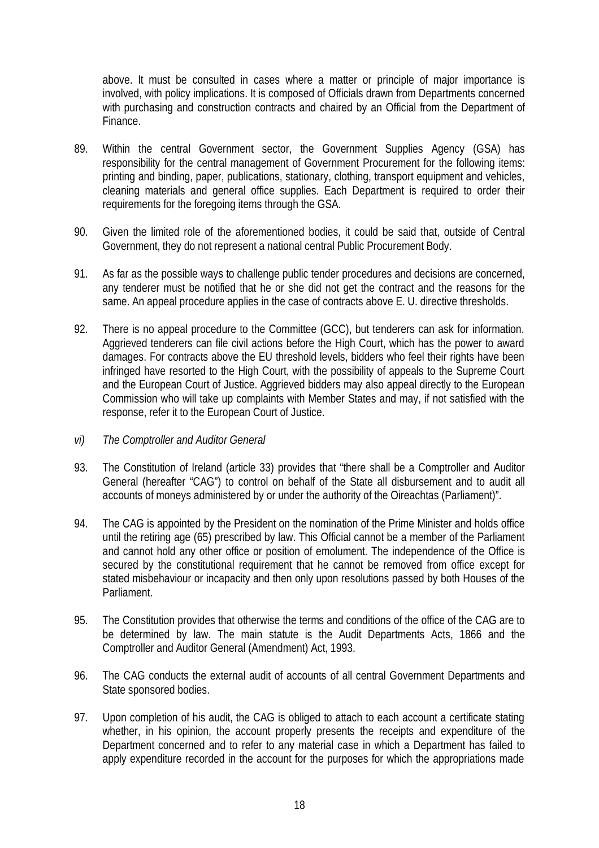above. It must be consulted in cases where a matter or principle of major importance is involved, with policy implications. It is composed of Officials drawn from Departments concerned with purchasing and construction contracts and chaired by an Official from the Department of Finance.

- 89. Within the central Government sector, the Government Supplies Agency (GSA) has responsibility for the central management of Government Procurement for the following items: printing and binding, paper, publications, stationary, clothing, transport equipment and vehicles, cleaning materials and general office supplies. Each Department is required to order their requirements for the foregoing items through the GSA.
- 90. Given the limited role of the aforementioned bodies, it could be said that, outside of Central Government, they do not represent a national central Public Procurement Body.
- 91. As far as the possible ways to challenge public tender procedures and decisions are concerned, any tenderer must be notified that he or she did not get the contract and the reasons for the same. An appeal procedure applies in the case of contracts above E. U. directive thresholds.
- 92. There is no appeal procedure to the Committee (GCC), but tenderers can ask for information. Aggrieved tenderers can file civil actions before the High Court, which has the power to award damages. For contracts above the EU threshold levels, bidders who feel their rights have been infringed have resorted to the High Court, with the possibility of appeals to the Supreme Court and the European Court of Justice. Aggrieved bidders may also appeal directly to the European Commission who will take up complaints with Member States and may, if not satisfied with the response, refer it to the European Court of Justice.
- *vi) The Comptroller and Auditor General*
- 93. The Constitution of Ireland (article 33) provides that "there shall be a Comptroller and Auditor General (hereafter "CAG") to control on behalf of the State all disbursement and to audit all accounts of moneys administered by or under the authority of the Oireachtas (Parliament)".
- 94. The CAG is appointed by the President on the nomination of the Prime Minister and holds office until the retiring age (65) prescribed by law. This Official cannot be a member of the Parliament and cannot hold any other office or position of emolument. The independence of the Office is secured by the constitutional requirement that he cannot be removed from office except for stated misbehaviour or incapacity and then only upon resolutions passed by both Houses of the Parliament.
- 95. The Constitution provides that otherwise the terms and conditions of the office of the CAG are to be determined by law. The main statute is the Audit Departments Acts, 1866 and the Comptroller and Auditor General (Amendment) Act, 1993.
- 96. The CAG conducts the external audit of accounts of all central Government Departments and State sponsored bodies.
- 97. Upon completion of his audit, the CAG is obliged to attach to each account a certificate stating whether, in his opinion, the account properly presents the receipts and expenditure of the Department concerned and to refer to any material case in which a Department has failed to apply expenditure recorded in the account for the purposes for which the appropriations made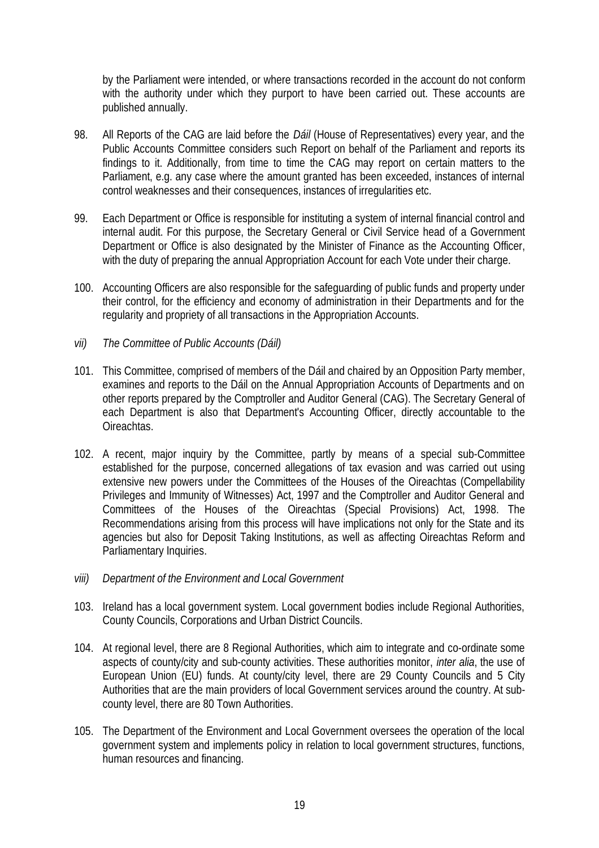by the Parliament were intended, or where transactions recorded in the account do not conform with the authority under which they purport to have been carried out. These accounts are published annually.

- 98. All Reports of the CAG are laid before the *Dáil* (House of Representatives) every year, and the Public Accounts Committee considers such Report on behalf of the Parliament and reports its findings to it. Additionally, from time to time the CAG may report on certain matters to the Parliament, e.g. any case where the amount granted has been exceeded, instances of internal control weaknesses and their consequences, instances of irregularities etc.
- 99. Each Department or Office is responsible for instituting a system of internal financial control and internal audit. For this purpose, the Secretary General or Civil Service head of a Government Department or Office is also designated by the Minister of Finance as the Accounting Officer, with the duty of preparing the annual Appropriation Account for each Vote under their charge.
- 100. Accounting Officers are also responsible for the safeguarding of public funds and property under their control, for the efficiency and economy of administration in their Departments and for the regularity and propriety of all transactions in the Appropriation Accounts.
- *vii) The Committee of Public Accounts (Dáil)*
- 101. This Committee, comprised of members of the Dáil and chaired by an Opposition Party member, examines and reports to the Dáil on the Annual Appropriation Accounts of Departments and on other reports prepared by the Comptroller and Auditor General (CAG). The Secretary General of each Department is also that Department's Accounting Officer, directly accountable to the Oireachtas.
- 102. A recent, major inquiry by the Committee, partly by means of a special sub-Committee established for the purpose, concerned allegations of tax evasion and was carried out using extensive new powers under the Committees of the Houses of the Oireachtas (Compellability Privileges and Immunity of Witnesses) Act, 1997 and the Comptroller and Auditor General and Committees of the Houses of the Oireachtas (Special Provisions) Act, 1998. The Recommendations arising from this process will have implications not only for the State and its agencies but also for Deposit Taking Institutions, as well as affecting Oireachtas Reform and Parliamentary Inquiries.
- *viii) Department of the Environment and Local Government*
- 103. Ireland has a local government system. Local government bodies include Regional Authorities, County Councils, Corporations and Urban District Councils.
- 104. At regional level, there are 8 Regional Authorities, which aim to integrate and co-ordinate some aspects of county/city and sub-county activities. These authorities monitor, *inter alia*, the use of European Union (EU) funds. At county/city level, there are 29 County Councils and 5 City Authorities that are the main providers of local Government services around the country. At subcounty level, there are 80 Town Authorities.
- 105. The Department of the Environment and Local Government oversees the operation of the local government system and implements policy in relation to local government structures, functions, human resources and financing.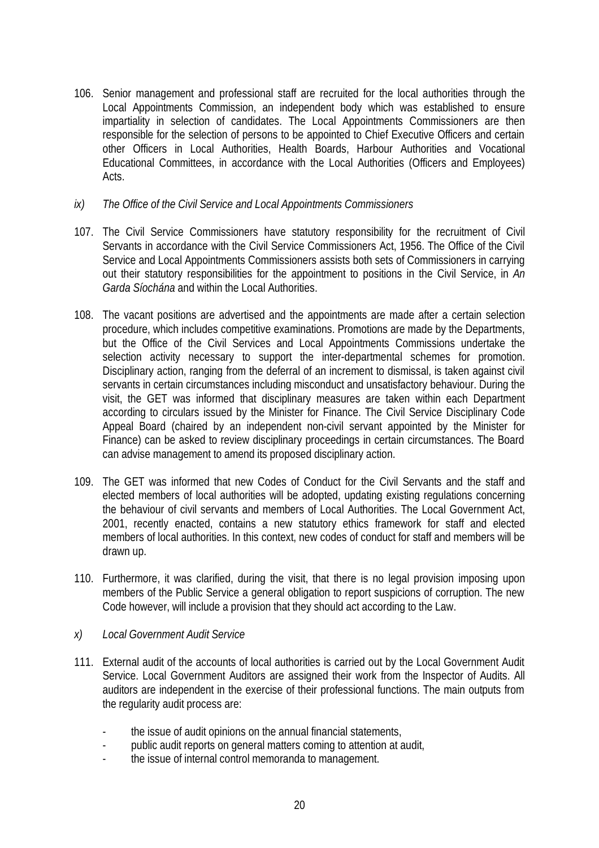- 106. Senior management and professional staff are recruited for the local authorities through the Local Appointments Commission, an independent body which was established to ensure impartiality in selection of candidates. The Local Appointments Commissioners are then responsible for the selection of persons to be appointed to Chief Executive Officers and certain other Officers in Local Authorities, Health Boards, Harbour Authorities and Vocational Educational Committees, in accordance with the Local Authorities (Officers and Employees) Acts.
- *ix) The Office of the Civil Service and Local Appointments Commissioners*
- 107. The Civil Service Commissioners have statutory responsibility for the recruitment of Civil Servants in accordance with the Civil Service Commissioners Act, 1956. The Office of the Civil Service and Local Appointments Commissioners assists both sets of Commissioners in carrying out their statutory responsibilities for the appointment to positions in the Civil Service, in *An Garda Síochána* and within the Local Authorities.
- 108. The vacant positions are advertised and the appointments are made after a certain selection procedure, which includes competitive examinations. Promotions are made by the Departments, but the Office of the Civil Services and Local Appointments Commissions undertake the selection activity necessary to support the inter-departmental schemes for promotion. Disciplinary action, ranging from the deferral of an increment to dismissal, is taken against civil servants in certain circumstances including misconduct and unsatisfactory behaviour. During the visit, the GET was informed that disciplinary measures are taken within each Department according to circulars issued by the Minister for Finance. The Civil Service Disciplinary Code Appeal Board (chaired by an independent non-civil servant appointed by the Minister for Finance) can be asked to review disciplinary proceedings in certain circumstances. The Board can advise management to amend its proposed disciplinary action.
- 109. The GET was informed that new Codes of Conduct for the Civil Servants and the staff and elected members of local authorities will be adopted, updating existing regulations concerning the behaviour of civil servants and members of Local Authorities. The Local Government Act, 2001, recently enacted, contains a new statutory ethics framework for staff and elected members of local authorities. In this context, new codes of conduct for staff and members will be drawn up.
- 110. Furthermore, it was clarified, during the visit, that there is no legal provision imposing upon members of the Public Service a general obligation to report suspicions of corruption. The new Code however, will include a provision that they should act according to the Law.
- *x) Local Government Audit Service*
- 111. External audit of the accounts of local authorities is carried out by the Local Government Audit Service. Local Government Auditors are assigned their work from the Inspector of Audits. All auditors are independent in the exercise of their professional functions. The main outputs from the regularity audit process are:
	- the issue of audit opinions on the annual financial statements,
	- public audit reports on general matters coming to attention at audit,
	- the issue of internal control memoranda to management.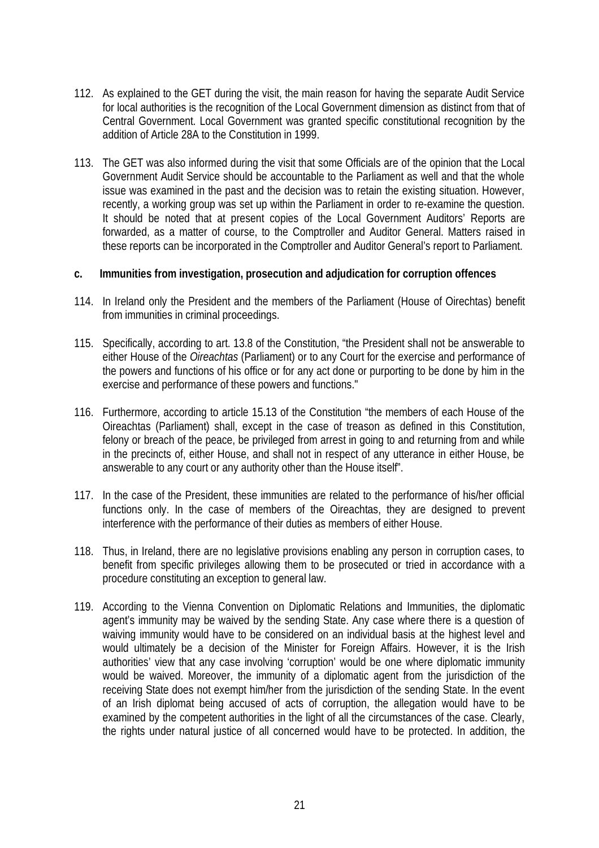- 112. As explained to the GET during the visit, the main reason for having the separate Audit Service for local authorities is the recognition of the Local Government dimension as distinct from that of Central Government. Local Government was granted specific constitutional recognition by the addition of Article 28A to the Constitution in 1999.
- 113. The GET was also informed during the visit that some Officials are of the opinion that the Local Government Audit Service should be accountable to the Parliament as well and that the whole issue was examined in the past and the decision was to retain the existing situation. However, recently, a working group was set up within the Parliament in order to re-examine the question. It should be noted that at present copies of the Local Government Auditors' Reports are forwarded, as a matter of course, to the Comptroller and Auditor General. Matters raised in these reports can be incorporated in the Comptroller and Auditor General's report to Parliament.

#### **c. Immunities from investigation, prosecution and adjudication for corruption offences**

- 114. In Ireland only the President and the members of the Parliament (House of Oirechtas) benefit from immunities in criminal proceedings.
- 115. Specifically, according to art. 13.8 of the Constitution, "the President shall not be answerable to either House of the *Oireachtas* (Parliament) or to any Court for the exercise and performance of the powers and functions of his office or for any act done or purporting to be done by him in the exercise and performance of these powers and functions."
- 116. Furthermore, according to article 15.13 of the Constitution "the members of each House of the Oireachtas (Parliament) shall, except in the case of treason as defined in this Constitution, felony or breach of the peace, be privileged from arrest in going to and returning from and while in the precincts of, either House, and shall not in respect of any utterance in either House, be answerable to any court or any authority other than the House itself".
- 117. In the case of the President, these immunities are related to the performance of his/her official functions only. In the case of members of the Oireachtas, they are designed to prevent interference with the performance of their duties as members of either House.
- 118. Thus, in Ireland, there are no legislative provisions enabling any person in corruption cases, to benefit from specific privileges allowing them to be prosecuted or tried in accordance with a procedure constituting an exception to general law.
- 119. According to the Vienna Convention on Diplomatic Relations and Immunities, the diplomatic agent's immunity may be waived by the sending State. Any case where there is a question of waiving immunity would have to be considered on an individual basis at the highest level and would ultimately be a decision of the Minister for Foreign Affairs. However, it is the Irish authorities' view that any case involving 'corruption' would be one where diplomatic immunity would be waived. Moreover, the immunity of a diplomatic agent from the jurisdiction of the receiving State does not exempt him/her from the jurisdiction of the sending State. In the event of an Irish diplomat being accused of acts of corruption, the allegation would have to be examined by the competent authorities in the light of all the circumstances of the case. Clearly, the rights under natural justice of all concerned would have to be protected. In addition, the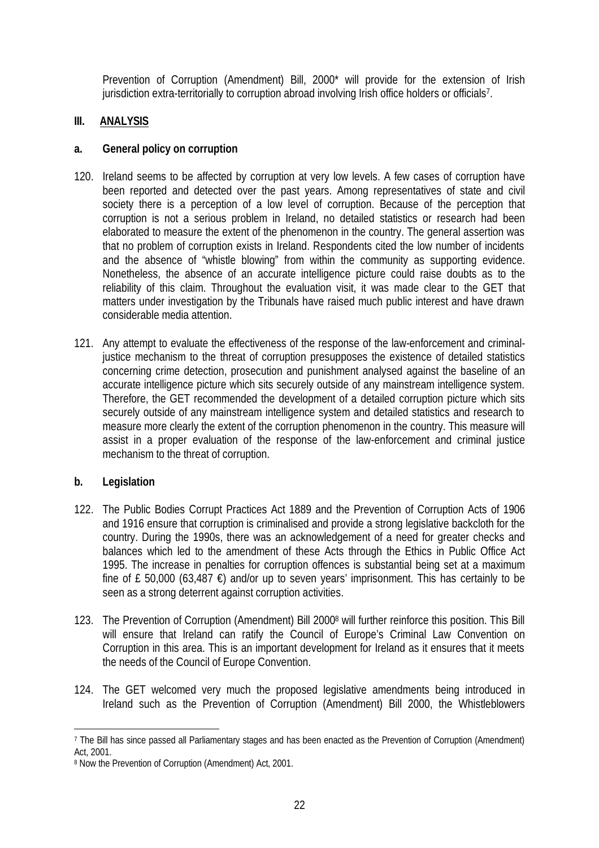Prevention of Corruption (Amendment) Bill, 2000\* will provide for the extension of Irish jurisdiction extra-territorially to corruption abroad involving Irish office holders or officials<sup>7</sup>.

### **III. ANALYSIS**

### **a. General policy on corruption**

- 120. Ireland seems to be affected by corruption at very low levels. A few cases of corruption have been reported and detected over the past years. Among representatives of state and civil society there is a perception of a low level of corruption. Because of the perception that corruption is not a serious problem in Ireland, no detailed statistics or research had been elaborated to measure the extent of the phenomenon in the country. The general assertion was that no problem of corruption exists in Ireland. Respondents cited the low number of incidents and the absence of "whistle blowing" from within the community as supporting evidence. Nonetheless, the absence of an accurate intelligence picture could raise doubts as to the reliability of this claim. Throughout the evaluation visit, it was made clear to the GET that matters under investigation by the Tribunals have raised much public interest and have drawn considerable media attention.
- 121. Any attempt to evaluate the effectiveness of the response of the law-enforcement and criminaljustice mechanism to the threat of corruption presupposes the existence of detailed statistics concerning crime detection, prosecution and punishment analysed against the baseline of an accurate intelligence picture which sits securely outside of any mainstream intelligence system. Therefore, the GET recommended the development of a detailed corruption picture which sits securely outside of any mainstream intelligence system and detailed statistics and research to measure more clearly the extent of the corruption phenomenon in the country. This measure will assist in a proper evaluation of the response of the law-enforcement and criminal justice mechanism to the threat of corruption.

# **b. Legislation**

- 122. The Public Bodies Corrupt Practices Act 1889 and the Prevention of Corruption Acts of 1906 and 1916 ensure that corruption is criminalised and provide a strong legislative backcloth for the country. During the 1990s, there was an acknowledgement of a need for greater checks and balances which led to the amendment of these Acts through the Ethics in Public Office Act 1995. The increase in penalties for corruption offences is substantial being set at a maximum fine of £ 50,000 (63,487  $\epsilon$ ) and/or up to seven years' imprisonment. This has certainly to be seen as a strong deterrent against corruption activities.
- 123. The Prevention of Corruption (Amendment) Bill 2000<sup>8</sup> will further reinforce this position. This Bill will ensure that Ireland can ratify the Council of Europe's Criminal Law Convention on Corruption in this area. This is an important development for Ireland as it ensures that it meets the needs of the Council of Europe Convention.
- 124. The GET welcomed very much the proposed legislative amendments being introduced in Ireland such as the Prevention of Corruption (Amendment) Bill 2000, the Whistleblowers

 $\overline{a}$ 7 The Bill has since passed all Parliamentary stages and has been enacted as the Prevention of Corruption (Amendment) Act, 2001.

<sup>8</sup> Now the Prevention of Corruption (Amendment) Act, 2001.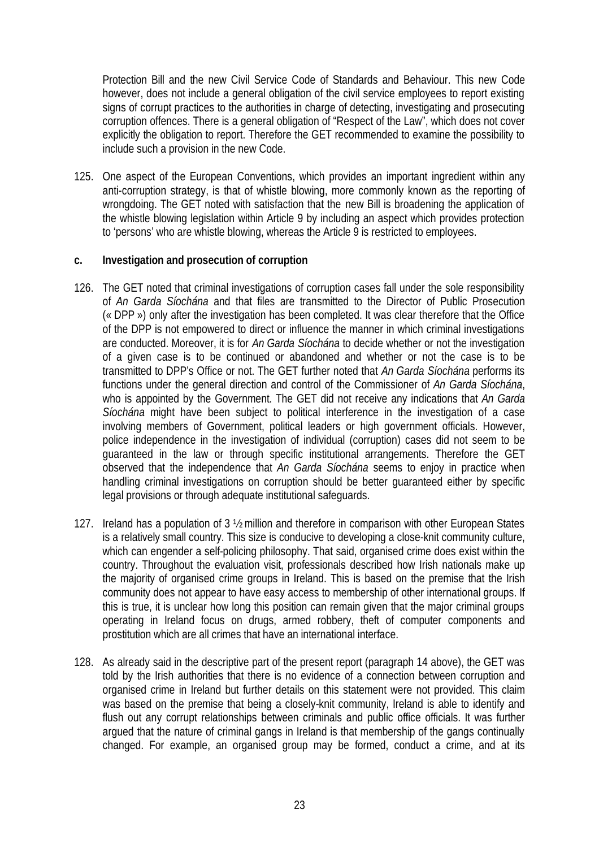Protection Bill and the new Civil Service Code of Standards and Behaviour. This new Code however, does not include a general obligation of the civil service employees to report existing signs of corrupt practices to the authorities in charge of detecting, investigating and prosecuting corruption offences. There is a general obligation of "Respect of the Law", which does not cover explicitly the obligation to report. Therefore the GET recommended to examine the possibility to include such a provision in the new Code.

125. One aspect of the European Conventions, which provides an important ingredient within any anti-corruption strategy, is that of whistle blowing, more commonly known as the reporting of wrongdoing. The GET noted with satisfaction that the new Bill is broadening the application of the whistle blowing legislation within Article 9 by including an aspect which provides protection to 'persons' who are whistle blowing, whereas the Article 9 is restricted to employees.

#### **c. Investigation and prosecution of corruption**

- 126. The GET noted that criminal investigations of corruption cases fall under the sole responsibility of *An Garda Síochána* and that files are transmitted to the Director of Public Prosecution (« DPP ») only after the investigation has been completed. It was clear therefore that the Office of the DPP is not empowered to direct or influence the manner in which criminal investigations are conducted. Moreover, it is for *An Garda Síochána* to decide whether or not the investigation of a given case is to be continued or abandoned and whether or not the case is to be transmitted to DPP's Office or not. The GET further noted that *An Garda Síochána* performs its functions under the general direction and control of the Commissioner of *An Garda Síochána*, who is appointed by the Government. The GET did not receive any indications that *An Garda Síochána* might have been subject to political interference in the investigation of a case involving members of Government, political leaders or high government officials. However, police independence in the investigation of individual (corruption) cases did not seem to be guaranteed in the law or through specific institutional arrangements. Therefore the GET observed that the independence that *An Garda Síochána* seems to enjoy in practice when handling criminal investigations on corruption should be better guaranteed either by specific legal provisions or through adequate institutional safeguards.
- 127. Ireland has a population of 3 ½ million and therefore in comparison with other European States is a relatively small country. This size is conducive to developing a close-knit community culture, which can engender a self-policing philosophy. That said, organised crime does exist within the country. Throughout the evaluation visit, professionals described how Irish nationals make up the majority of organised crime groups in Ireland. This is based on the premise that the Irish community does not appear to have easy access to membership of other international groups. If this is true, it is unclear how long this position can remain given that the major criminal groups operating in Ireland focus on drugs, armed robbery, theft of computer components and prostitution which are all crimes that have an international interface.
- 128. As already said in the descriptive part of the present report (paragraph 14 above), the GET was told by the Irish authorities that there is no evidence of a connection between corruption and organised crime in Ireland but further details on this statement were not provided. This claim was based on the premise that being a closely-knit community, Ireland is able to identify and flush out any corrupt relationships between criminals and public office officials. It was further argued that the nature of criminal gangs in Ireland is that membership of the gangs continually changed. For example, an organised group may be formed, conduct a crime, and at its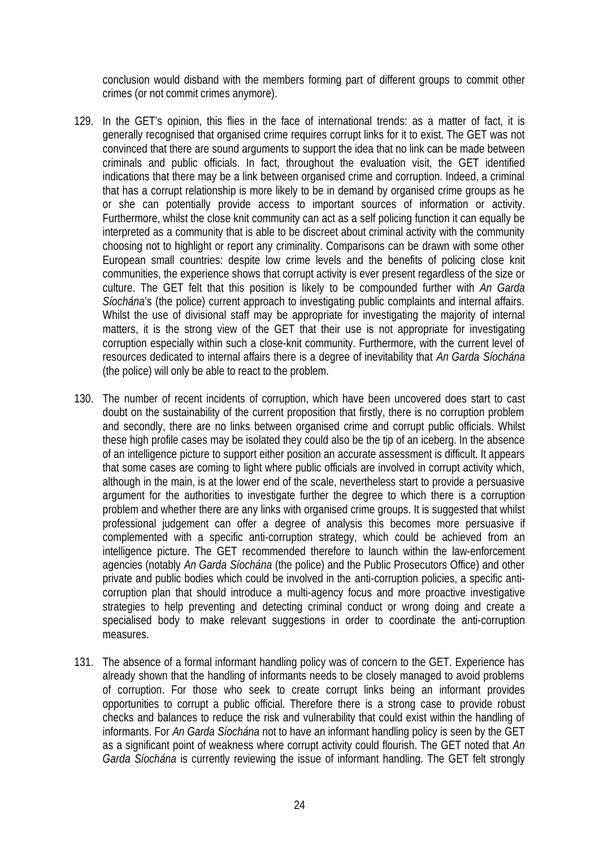conclusion would disband with the members forming part of different groups to commit other crimes (or not commit crimes anymore).

- 129. In the GET's opinion, this flies in the face of international trends: as a matter of fact, it is generally recognised that organised crime requires corrupt links for it to exist. The GET was not convinced that there are sound arguments to support the idea that no link can be made between criminals and public officials. In fact, throughout the evaluation visit, the GET identified indications that there may be a link between organised crime and corruption. Indeed, a criminal that has a corrupt relationship is more likely to be in demand by organised crime groups as he or she can potentially provide access to important sources of information or activity. Furthermore, whilst the close knit community can act as a self policing function it can equally be interpreted as a community that is able to be discreet about criminal activity with the community choosing not to highlight or report any criminality. Comparisons can be drawn with some other European small countries: despite low crime levels and the benefits of policing close knit communities, the experience shows that corrupt activity is ever present regardless of the size or culture. The GET felt that this position is likely to be compounded further with *An Garda Síochána*'s (the police) current approach to investigating public complaints and internal affairs. Whilst the use of divisional staff may be appropriate for investigating the majority of internal matters, it is the strong view of the GET that their use is not appropriate for investigating corruption especially within such a close-knit community. Furthermore, with the current level of resources dedicated to internal affairs there is a degree of inevitability that *An Garda Síochána* (the police) will only be able to react to the problem.
- 130. The number of recent incidents of corruption, which have been uncovered does start to cast doubt on the sustainability of the current proposition that firstly, there is no corruption problem and secondly, there are no links between organised crime and corrupt public officials. Whilst these high profile cases may be isolated they could also be the tip of an iceberg. In the absence of an intelligence picture to support either position an accurate assessment is difficult. It appears that some cases are coming to light where public officials are involved in corrupt activity which, although in the main, is at the lower end of the scale, nevertheless start to provide a persuasive argument for the authorities to investigate further the degree to which there is a corruption problem and whether there are any links with organised crime groups. It is suggested that whilst professional judgement can offer a degree of analysis this becomes more persuasive if complemented with a specific anti-corruption strategy, which could be achieved from an intelligence picture. The GET recommended therefore to launch within the law-enforcement agencies (notably *An Garda Síochána* (the police) and the Public Prosecutors Office) and other private and public bodies which could be involved in the anti-corruption policies, a specific anticorruption plan that should introduce a multi-agency focus and more proactive investigative strategies to help preventing and detecting criminal conduct or wrong doing and create a specialised body to make relevant suggestions in order to coordinate the anti-corruption measures.
- 131. The absence of a formal informant handling policy was of concern to the GET. Experience has already shown that the handling of informants needs to be closely managed to avoid problems of corruption. For those who seek to create corrupt links being an informant provides opportunities to corrupt a public official. Therefore there is a strong case to provide robust checks and balances to reduce the risk and vulnerability that could exist within the handling of informants. For *An Garda Síochána* not to have an informant handling policy is seen by the GET as a significant point of weakness where corrupt activity could flourish. The GET noted that *An Garda Síochána* is currently reviewing the issue of informant handling. The GET felt strongly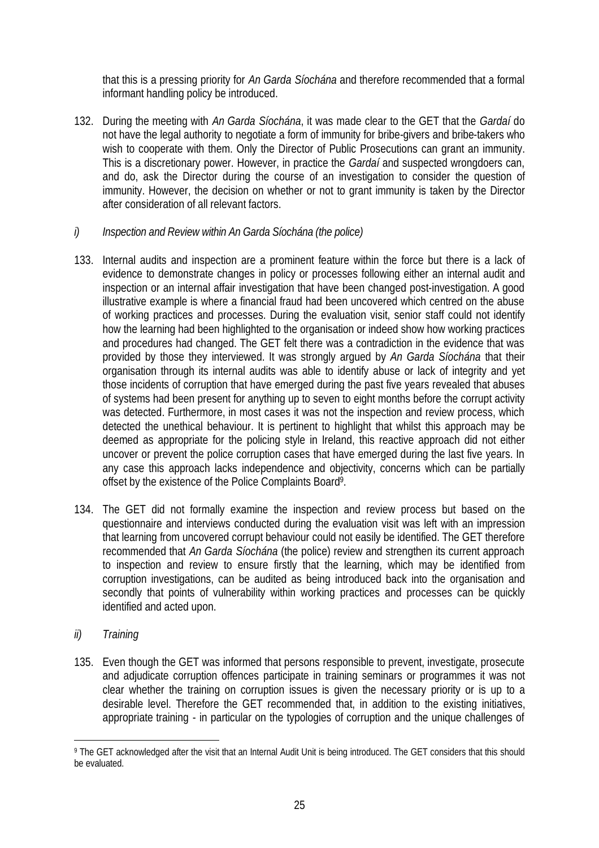that this is a pressing priority for *An Garda Síochána* and therefore recommended that a formal informant handling policy be introduced.

- 132. During the meeting with *An Garda Síochána*, it was made clear to the GET that the *Gardaí* do not have the legal authority to negotiate a form of immunity for bribe-givers and bribe-takers who wish to cooperate with them. Only the Director of Public Prosecutions can grant an immunity. This is a discretionary power. However, in practice the *Gardaí* and suspected wrongdoers can, and do, ask the Director during the course of an investigation to consider the question of immunity. However, the decision on whether or not to grant immunity is taken by the Director after consideration of all relevant factors.
- *i) Inspection and Review within An Garda Síochána (the police)*
- 133. Internal audits and inspection are a prominent feature within the force but there is a lack of evidence to demonstrate changes in policy or processes following either an internal audit and inspection or an internal affair investigation that have been changed post-investigation. A good illustrative example is where a financial fraud had been uncovered which centred on the abuse of working practices and processes. During the evaluation visit, senior staff could not identify how the learning had been highlighted to the organisation or indeed show how working practices and procedures had changed. The GET felt there was a contradiction in the evidence that was provided by those they interviewed. It was strongly argued by *An Garda Síochána* that their organisation through its internal audits was able to identify abuse or lack of integrity and yet those incidents of corruption that have emerged during the past five years revealed that abuses of systems had been present for anything up to seven to eight months before the corrupt activity was detected. Furthermore, in most cases it was not the inspection and review process, which detected the unethical behaviour. It is pertinent to highlight that whilst this approach may be deemed as appropriate for the policing style in Ireland, this reactive approach did not either uncover or prevent the police corruption cases that have emerged during the last five years. In any case this approach lacks independence and objectivity, concerns which can be partially offset by the existence of the Police Complaints Board<sup>9</sup>.
- 134. The GET did not formally examine the inspection and review process but based on the questionnaire and interviews conducted during the evaluation visit was left with an impression that learning from uncovered corrupt behaviour could not easily be identified. The GET therefore recommended that *An Garda Síochána* (the police) review and strengthen its current approach to inspection and review to ensure firstly that the learning, which may be identified from corruption investigations, can be audited as being introduced back into the organisation and secondly that points of vulnerability within working practices and processes can be quickly identified and acted upon.
- *ii) Training*
- 135. Even though the GET was informed that persons responsible to prevent, investigate, prosecute and adjudicate corruption offences participate in training seminars or programmes it was not clear whether the training on corruption issues is given the necessary priority or is up to a desirable level. Therefore the GET recommended that, in addition to the existing initiatives, appropriate training - in particular on the typologies of corruption and the unique challenges of

 $\overline{a}$ 9 The GET acknowledged after the visit that an Internal Audit Unit is being introduced. The GET considers that this should be evaluated.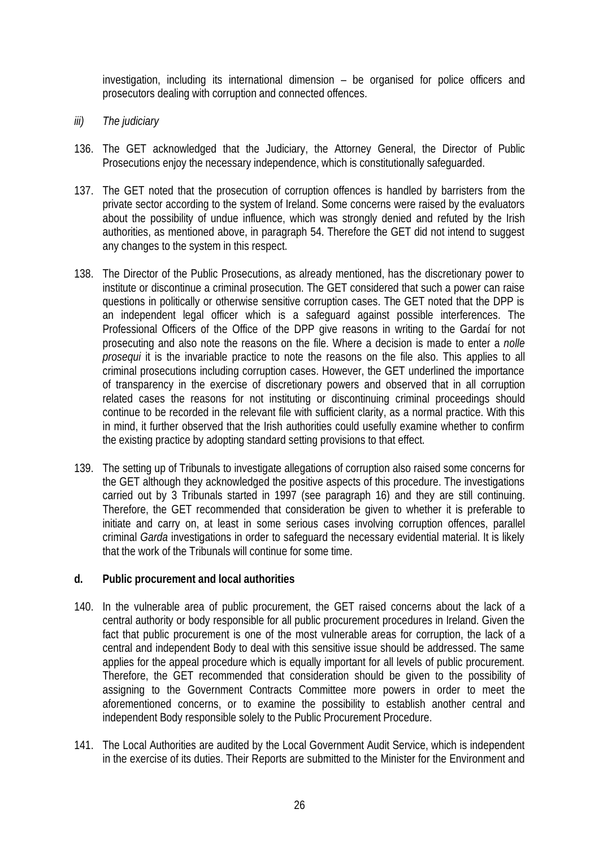investigation, including its international dimension – be organised for police officers and prosecutors dealing with corruption and connected offences.

- *iii) The judiciary*
- 136. The GET acknowledged that the Judiciary, the Attorney General, the Director of Public Prosecutions enjoy the necessary independence, which is constitutionally safeguarded.
- 137. The GET noted that the prosecution of corruption offences is handled by barristers from the private sector according to the system of Ireland. Some concerns were raised by the evaluators about the possibility of undue influence, which was strongly denied and refuted by the Irish authorities, as mentioned above, in paragraph 54. Therefore the GET did not intend to suggest any changes to the system in this respect.
- 138. The Director of the Public Prosecutions, as already mentioned, has the discretionary power to institute or discontinue a criminal prosecution. The GET considered that such a power can raise questions in politically or otherwise sensitive corruption cases. The GET noted that the DPP is an independent legal officer which is a safeguard against possible interferences. The Professional Officers of the Office of the DPP give reasons in writing to the Gardaí for not prosecuting and also note the reasons on the file. Where a decision is made to enter a *nolle prosequi* it is the invariable practice to note the reasons on the file also. This applies to all criminal prosecutions including corruption cases. However, the GET underlined the importance of transparency in the exercise of discretionary powers and observed that in all corruption related cases the reasons for not instituting or discontinuing criminal proceedings should continue to be recorded in the relevant file with sufficient clarity, as a normal practice. With this in mind, it further observed that the Irish authorities could usefully examine whether to confirm the existing practice by adopting standard setting provisions to that effect.
- 139. The setting up of Tribunals to investigate allegations of corruption also raised some concerns for the GET although they acknowledged the positive aspects of this procedure. The investigations carried out by 3 Tribunals started in 1997 (see paragraph 16) and they are still continuing. Therefore, the GET recommended that consideration be given to whether it is preferable to initiate and carry on, at least in some serious cases involving corruption offences, parallel criminal *Garda* investigations in order to safeguard the necessary evidential material. It is likely that the work of the Tribunals will continue for some time.

#### **d. Public procurement and local authorities**

- 140. In the vulnerable area of public procurement, the GET raised concerns about the lack of a central authority or body responsible for all public procurement procedures in Ireland. Given the fact that public procurement is one of the most vulnerable areas for corruption, the lack of a central and independent Body to deal with this sensitive issue should be addressed. The same applies for the appeal procedure which is equally important for all levels of public procurement. Therefore, the GET recommended that consideration should be given to the possibility of assigning to the Government Contracts Committee more powers in order to meet the aforementioned concerns, or to examine the possibility to establish another central and independent Body responsible solely to the Public Procurement Procedure.
- 141. The Local Authorities are audited by the Local Government Audit Service, which is independent in the exercise of its duties. Their Reports are submitted to the Minister for the Environment and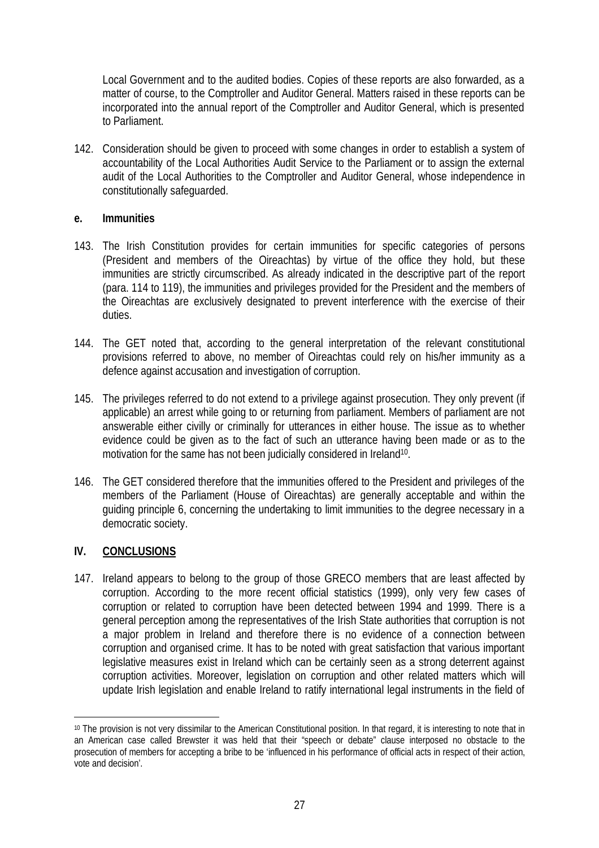Local Government and to the audited bodies. Copies of these reports are also forwarded, as a matter of course, to the Comptroller and Auditor General. Matters raised in these reports can be incorporated into the annual report of the Comptroller and Auditor General, which is presented to Parliament.

142. Consideration should be given to proceed with some changes in order to establish a system of accountability of the Local Authorities Audit Service to the Parliament or to assign the external audit of the Local Authorities to the Comptroller and Auditor General, whose independence in constitutionally safeguarded.

#### **e. Immunities**

- 143. The Irish Constitution provides for certain immunities for specific categories of persons (President and members of the Oireachtas) by virtue of the office they hold, but these immunities are strictly circumscribed. As already indicated in the descriptive part of the report (para. 114 to 119), the immunities and privileges provided for the President and the members of the Oireachtas are exclusively designated to prevent interference with the exercise of their duties.
- 144. The GET noted that, according to the general interpretation of the relevant constitutional provisions referred to above, no member of Oireachtas could rely on his/her immunity as a defence against accusation and investigation of corruption.
- 145. The privileges referred to do not extend to a privilege against prosecution. They only prevent (if applicable) an arrest while going to or returning from parliament. Members of parliament are not answerable either civilly or criminally for utterances in either house. The issue as to whether evidence could be given as to the fact of such an utterance having been made or as to the motivation for the same has not been judicially considered in Ireland<sup>10</sup>.
- 146. The GET considered therefore that the immunities offered to the President and privileges of the members of the Parliament (House of Oireachtas) are generally acceptable and within the guiding principle 6, concerning the undertaking to limit immunities to the degree necessary in a democratic society.

# **IV. CONCLUSIONS**

147. Ireland appears to belong to the group of those GRECO members that are least affected by corruption. According to the more recent official statistics (1999), only very few cases of corruption or related to corruption have been detected between 1994 and 1999. There is a general perception among the representatives of the Irish State authorities that corruption is not a major problem in Ireland and therefore there is no evidence of a connection between corruption and organised crime. It has to be noted with great satisfaction that various important legislative measures exist in Ireland which can be certainly seen as a strong deterrent against corruption activities. Moreover, legislation on corruption and other related matters which will update Irish legislation and enable Ireland to ratify international legal instruments in the field of

 $\overline{a}$ <sup>10</sup> The provision is not very dissimilar to the American Constitutional position. In that regard, it is interesting to note that in an American case called Brewster it was held that their "speech or debate" clause interposed no obstacle to the prosecution of members for accepting a bribe to be 'influenced in his performance of official acts in respect of their action, vote and decision'.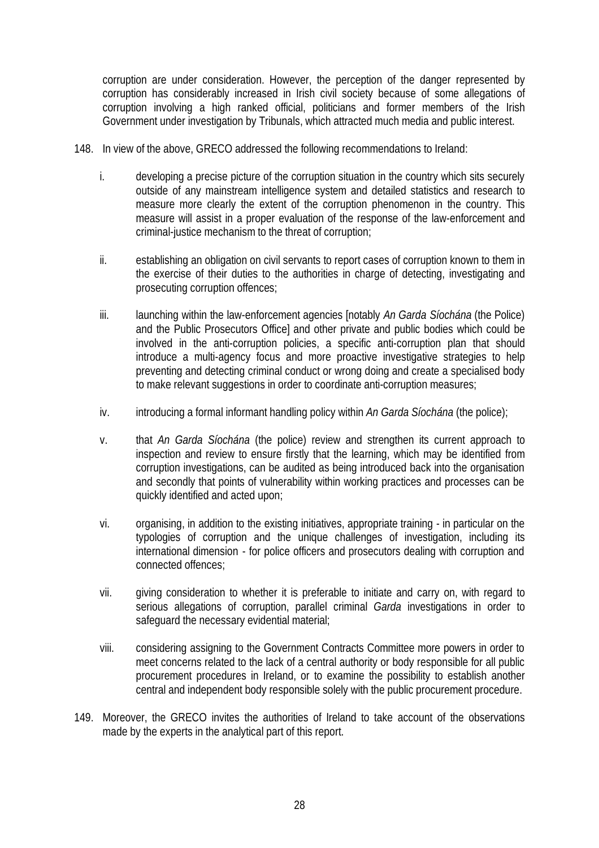corruption are under consideration. However, the perception of the danger represented by corruption has considerably increased in Irish civil society because of some allegations of corruption involving a high ranked official, politicians and former members of the Irish Government under investigation by Tribunals, which attracted much media and public interest.

- 148. In view of the above, GRECO addressed the following recommendations to Ireland:
	- i. developing a precise picture of the corruption situation in the country which sits securely outside of any mainstream intelligence system and detailed statistics and research to measure more clearly the extent of the corruption phenomenon in the country. This measure will assist in a proper evaluation of the response of the law-enforcement and criminal-justice mechanism to the threat of corruption;
	- ii. establishing an obligation on civil servants to report cases of corruption known to them in the exercise of their duties to the authorities in charge of detecting, investigating and prosecuting corruption offences;
	- iii. launching within the law-enforcement agencies [notably *An Garda Síochána* (the Police) and the Public Prosecutors Office] and other private and public bodies which could be involved in the anti-corruption policies, a specific anti-corruption plan that should introduce a multi-agency focus and more proactive investigative strategies to help preventing and detecting criminal conduct or wrong doing and create a specialised body to make relevant suggestions in order to coordinate anti-corruption measures;
	- iv. introducing a formal informant handling policy within *An Garda Síochána* (the police);
	- v. that *An Garda Síochána* (the police) review and strengthen its current approach to inspection and review to ensure firstly that the learning, which may be identified from corruption investigations, can be audited as being introduced back into the organisation and secondly that points of vulnerability within working practices and processes can be quickly identified and acted upon;
	- vi. organising, in addition to the existing initiatives, appropriate training in particular on the typologies of corruption and the unique challenges of investigation, including its international dimension - for police officers and prosecutors dealing with corruption and connected offences;
	- vii. giving consideration to whether it is preferable to initiate and carry on, with regard to serious allegations of corruption, parallel criminal *Garda* investigations in order to safequard the necessary evidential material;
	- viii. considering assigning to the Government Contracts Committee more powers in order to meet concerns related to the lack of a central authority or body responsible for all public procurement procedures in Ireland, or to examine the possibility to establish another central and independent body responsible solely with the public procurement procedure.
- 149. Moreover, the GRECO invites the authorities of Ireland to take account of the observations made by the experts in the analytical part of this report.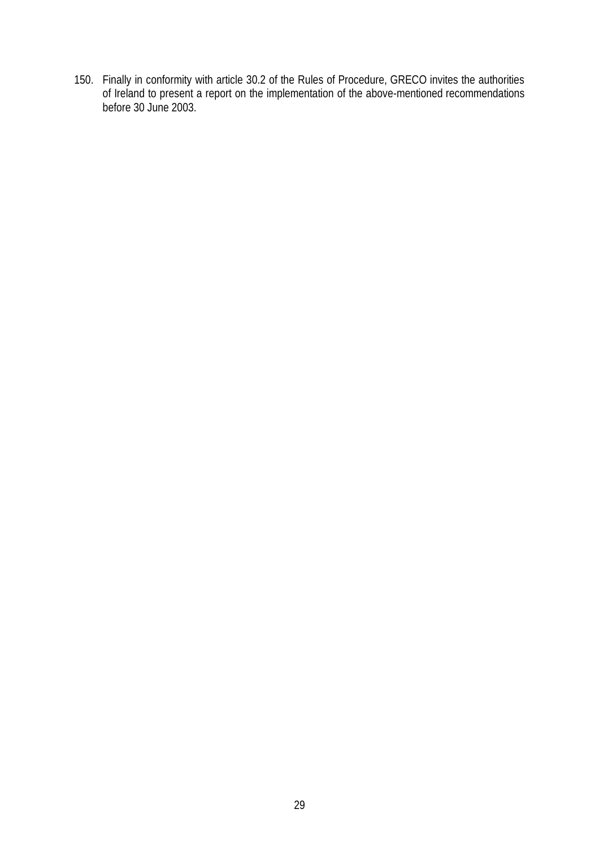150. Finally in conformity with article 30.2 of the Rules of Procedure, GRECO invites the authorities of Ireland to present a report on the implementation of the above-mentioned recommendations before 30 June 2003.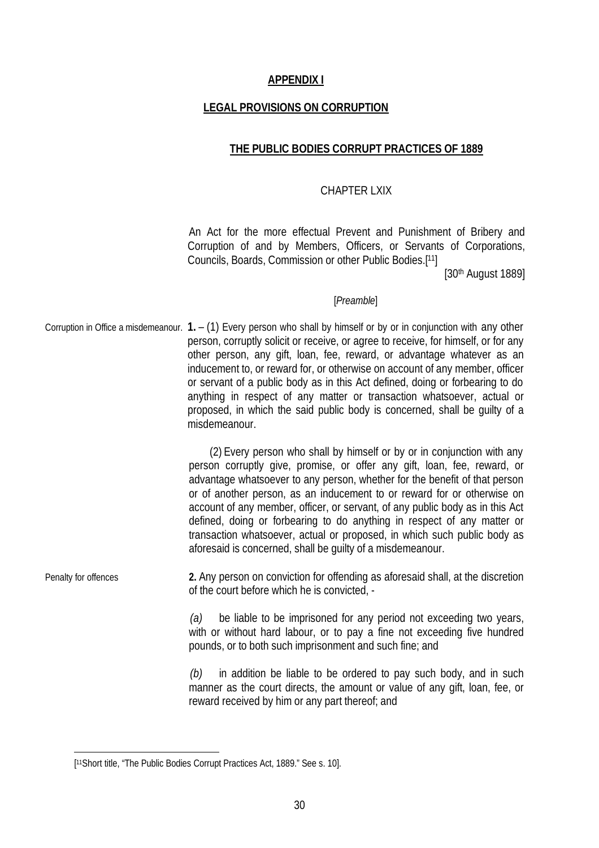#### **APPENDIX I**

#### **LEGAL PROVISIONS ON CORRUPTION**

#### **THE PUBLIC BODIES CORRUPT PRACTICES OF 1889**

#### CHAPTER LXIX

An Act for the more effectual Prevent and Punishment of Bribery and Corruption of and by Members, Officers, or Servants of Corporations, Councils, Boards, Commission or other Public Bodies.[11]

[30th August 1889]

#### [*Preamble*]

Corruption in Office a misdemeanour. **1.** – (1) Every person who shall by himself or by or in conjunction with any other person, corruptly solicit or receive, or agree to receive, for himself, or for any other person, any gift, loan, fee, reward, or advantage whatever as an inducement to, or reward for, or otherwise on account of any member, officer or servant of a public body as in this Act defined, doing or forbearing to do anything in respect of any matter or transaction whatsoever, actual or proposed, in which the said public body is concerned, shall be guilty of a misdemeanour.

> (2) Every person who shall by himself or by or in conjunction with any person corruptly give, promise, or offer any gift, loan, fee, reward, or advantage whatsoever to any person, whether for the benefit of that person or of another person, as an inducement to or reward for or otherwise on account of any member, officer, or servant, of any public body as in this Act defined, doing or forbearing to do anything in respect of any matter or transaction whatsoever, actual or proposed, in which such public body as aforesaid is concerned, shall be guilty of a misdemeanour.

Penalty for offences **2.** Any person on conviction for offending as aforesaid shall, at the discretion of the court before which he is convicted, -

> *(a)* be liable to be imprisoned for any period not exceeding two years, with or without hard labour, or to pay a fine not exceeding five hundred pounds, or to both such imprisonment and such fine; and

> *(b)* in addition be liable to be ordered to pay such body, and in such manner as the court directs, the amount or value of any gift, loan, fee, or reward received by him or any part thereof; and

 $\overline{a}$ 

<sup>[</sup> 11Short title, "The Public Bodies Corrupt Practices Act, 1889." See s. 10].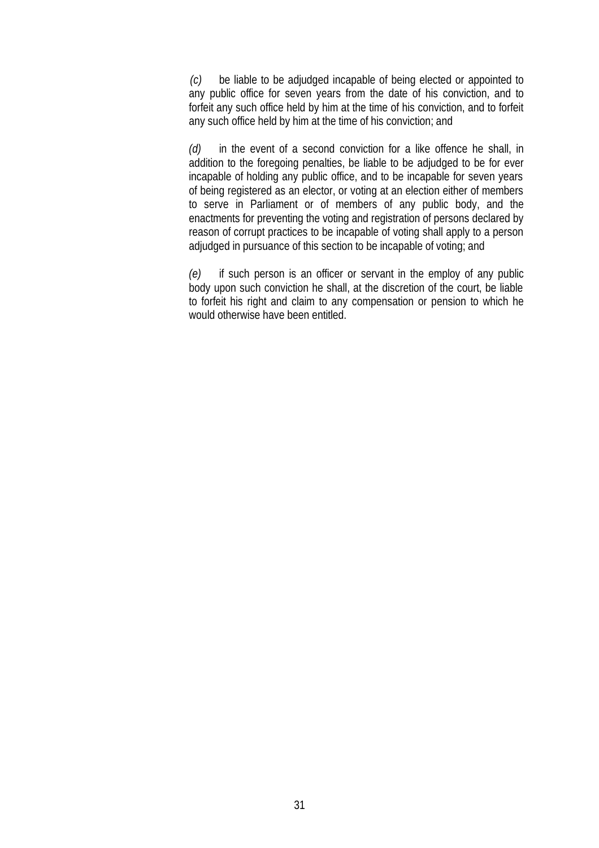*(c)* be liable to be adjudged incapable of being elected or appointed to any public office for seven years from the date of his conviction, and to forfeit any such office held by him at the time of his conviction, and to forfeit any such office held by him at the time of his conviction; and

*(d)* in the event of a second conviction for a like offence he shall, in addition to the foregoing penalties, be liable to be adjudged to be for ever incapable of holding any public office, and to be incapable for seven years of being registered as an elector, or voting at an election either of members to serve in Parliament or of members of any public body, and the enactments for preventing the voting and registration of persons declared by reason of corrupt practices to be incapable of voting shall apply to a person adjudged in pursuance of this section to be incapable of voting; and

*(e)* if such person is an officer or servant in the employ of any public body upon such conviction he shall, at the discretion of the court, be liable to forfeit his right and claim to any compensation or pension to which he would otherwise have been entitled.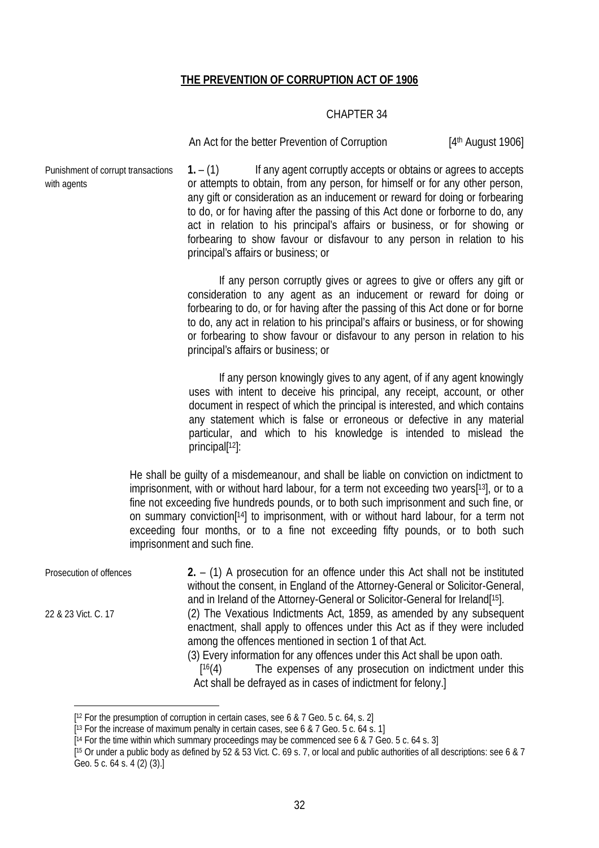#### **THE PREVENTION OF CORRUPTION ACT OF 1906**

#### CHAPTER 34

An Act for the better Prevention of Corruption [4th August 1906]

Punishment of corrupt transactions **1.**  $-$  (1) If any agent corruptly accepts or obtains or agrees to accepts with agents or attempts to obtain, from any person, for himself or for any other person, any gift or consideration as an inducement or reward for doing or forbearing to do, or for having after the passing of this Act done or forborne to do, any act in relation to his principal's affairs or business, or for showing or forbearing to show favour or disfavour to any person in relation to his principal's affairs or business; or

> If any person corruptly gives or agrees to give or offers any gift or consideration to any agent as an inducement or reward for doing or forbearing to do, or for having after the passing of this Act done or for borne to do, any act in relation to his principal's affairs or business, or for showing or forbearing to show favour or disfavour to any person in relation to his principal's affairs or business; or

> If any person knowingly gives to any agent, of if any agent knowingly uses with intent to deceive his principal, any receipt, account, or other document in respect of which the principal is interested, and which contains any statement which is false or erroneous or defective in any material particular, and which to his knowledge is intended to mislead the principal[12]:

He shall be guilty of a misdemeanour, and shall be liable on conviction on indictment to imprisonment, with or without hard labour, for a term not exceeding two years[13], or to a fine not exceeding five hundreds pounds, or to both such imprisonment and such fine, or on summary conviction[14] to imprisonment, with or without hard labour, for a term not exceeding four months, or to a fine not exceeding fifty pounds, or to both such imprisonment and such fine.

Prosecution of offences **2.** – (1) A prosecution for an offence under this Act shall not be instituted without the consent, in England of the Attorney-General or Solicitor-General, and in Ireland of the Attorney-General or Solicitor-General for Ireland[15]. 22 & 23 Vict. C. 17 (2) The Vexatious Indictments Act, 1859, as amended by any subsequent enactment, shall apply to offences under this Act as if they were included among the offences mentioned in section 1 of that Act. (3) Every information for any offences under this Act shall be upon oath.

 $[16(4)]$ The expenses of any prosecution on indictment under this Act shall be defrayed as in cases of indictment for felony.]

 $\overline{a}$ 

32

<sup>[&</sup>lt;sup>12</sup> For the presumption of corruption in certain cases, see 6 & 7 Geo. 5 c. 64, s. 2]

<sup>[&</sup>lt;sup>13</sup> For the increase of maximum penalty in certain cases, see 6 & 7 Geo. 5 c. 64 s. 1]

<sup>[</sup> <sup>14</sup> For the time within which summary proceedings may be commenced see 6 & 7 Geo. 5 c. 64 s. 3]

<sup>[&</sup>lt;sup>15</sup> Or under a public body as defined by 52 & 53 Vict. C. 69 s. 7, or local and public authorities of all descriptions: see 6 & 7 Geo. 5 c. 64 s. 4 (2) (3).]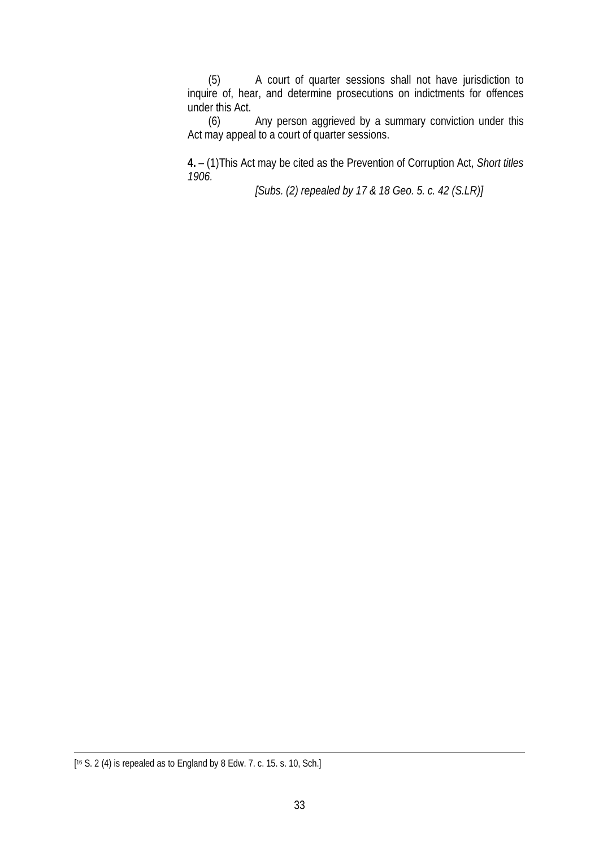(5) A court of quarter sessions shall not have jurisdiction to inquire of, hear, and determine prosecutions on indictments for offences under this Act.

(6) Any person aggrieved by a summary conviction under this Act may appeal to a court of quarter sessions.

**4.** – (1)This Act may be cited as the Prevention of Corruption Act, *Short titles 1906.*

*[Subs. (2) repealed by 17 & 18 Geo. 5. c. 42 (S.LR)]*

 $\overline{a}$ 

<sup>[</sup> 16 S. 2 (4) is repealed as to England by 8 Edw. 7. c. 15. s. 10, Sch.]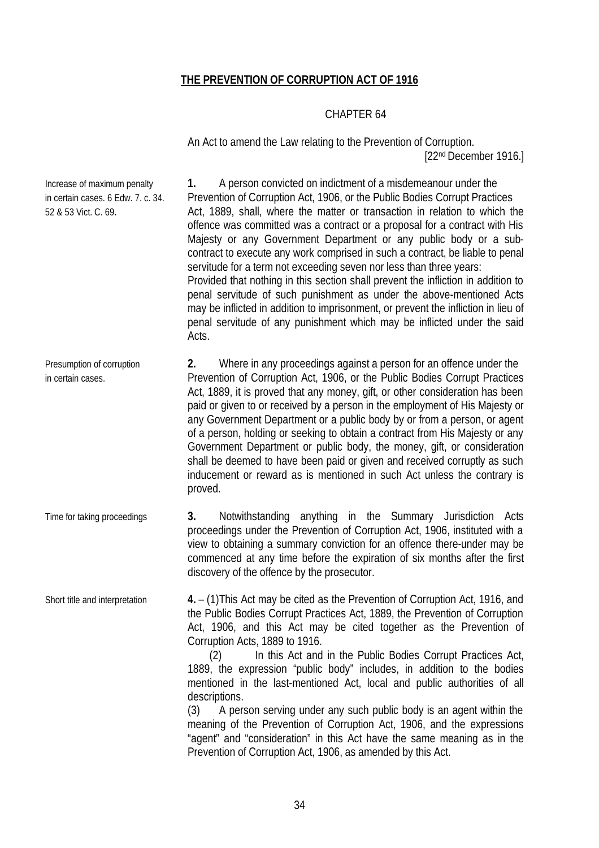# **THE PREVENTION OF CORRUPTION ACT OF 1916**

# CHAPTER 64

|                                                                                           | An Act to amend the Law relating to the Prevention of Corruption.<br>[22 <sup>nd</sup> December 1916.]                                                                                                                                                                                                                                                                                                                                                                                                                                                                                                                                                                                                                                                                                                                                                                           |
|-------------------------------------------------------------------------------------------|----------------------------------------------------------------------------------------------------------------------------------------------------------------------------------------------------------------------------------------------------------------------------------------------------------------------------------------------------------------------------------------------------------------------------------------------------------------------------------------------------------------------------------------------------------------------------------------------------------------------------------------------------------------------------------------------------------------------------------------------------------------------------------------------------------------------------------------------------------------------------------|
| Increase of maximum penalty<br>in certain cases. 6 Edw. 7. c. 34.<br>52 & 53 Vict. C. 69. | A person convicted on indictment of a misdemeanour under the<br>1.<br>Prevention of Corruption Act, 1906, or the Public Bodies Corrupt Practices<br>Act, 1889, shall, where the matter or transaction in relation to which the<br>offence was committed was a contract or a proposal for a contract with His<br>Majesty or any Government Department or any public body or a sub-<br>contract to execute any work comprised in such a contract, be liable to penal<br>servitude for a term not exceeding seven nor less than three years:<br>Provided that nothing in this section shall prevent the infliction in addition to<br>penal servitude of such punishment as under the above-mentioned Acts<br>may be inflicted in addition to imprisonment, or prevent the infliction in lieu of<br>penal servitude of any punishment which may be inflicted under the said<br>Acts. |
| Presumption of corruption<br>in certain cases.                                            | Where in any proceedings against a person for an offence under the<br>2.<br>Prevention of Corruption Act, 1906, or the Public Bodies Corrupt Practices<br>Act, 1889, it is proved that any money, gift, or other consideration has been<br>paid or given to or received by a person in the employment of His Majesty or<br>any Government Department or a public body by or from a person, or agent<br>of a person, holding or seeking to obtain a contract from His Majesty or any<br>Government Department or public body, the money, gift, or consideration<br>shall be deemed to have been paid or given and received corruptly as such<br>inducement or reward as is mentioned in such Act unless the contrary is<br>proved.                                                                                                                                                |
| Time for taking proceedings                                                               | Notwithstanding anything in the Summary Jurisdiction Acts<br>3.<br>proceedings under the Prevention of Corruption Act, 1906, instituted with a<br>view to obtaining a summary conviction for an offence there-under may be<br>commenced at any time before the expiration of six months after the first<br>discovery of the offence by the prosecutor.                                                                                                                                                                                                                                                                                                                                                                                                                                                                                                                           |
| Short title and interpretation                                                            | 4. - (1) This Act may be cited as the Prevention of Corruption Act, 1916, and<br>the Public Bodies Corrupt Practices Act, 1889, the Prevention of Corruption<br>Act, 1906, and this Act may be cited together as the Prevention of<br>Corruption Acts, 1889 to 1916.<br>In this Act and in the Public Bodies Corrupt Practices Act,<br>(2)<br>1889, the expression "public body" includes, in addition to the bodies<br>mentioned in the last-mentioned Act, local and public authorities of all<br>descriptions.<br>A person serving under any such public body is an agent within the<br>(3)<br>meaning of the Prevention of Corruption Act, 1906, and the expressions<br>"agent" and "consideration" in this Act have the same meaning as in the<br>Prevention of Corruption Act, 1906, as amended by this Act.                                                               |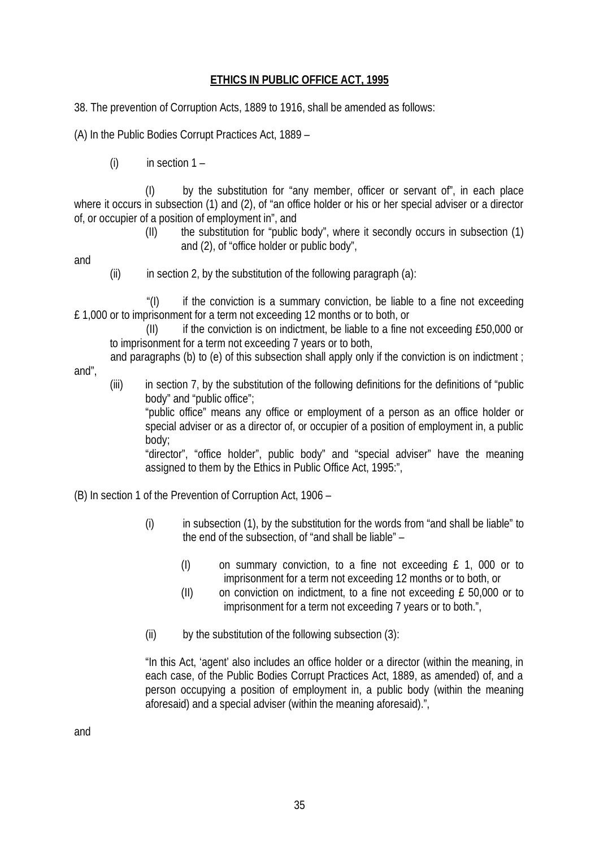### **ETHICS IN PUBLIC OFFICE ACT, 1995**

38. The prevention of Corruption Acts, 1889 to 1916, shall be amended as follows:

(A) In the Public Bodies Corrupt Practices Act, 1889 –

 $(i)$  in section  $1 -$ 

(I) by the substitution for "any member, officer or servant of", in each place where it occurs in subsection (1) and (2), of "an office holder or his or her special adviser or a director of, or occupier of a position of employment in", and

(II) the substitution for "public body", where it secondly occurs in subsection (1) and (2), of "office holder or public body",

and

(ii) in section 2, by the substitution of the following paragraph (a):

"(I) if the conviction is a summary conviction, be liable to a fine not exceeding £ 1,000 or to imprisonment for a term not exceeding 12 months or to both, or

(II) if the conviction is on indictment, be liable to a fine not exceeding £50,000 or to imprisonment for a term not exceeding 7 years or to both,

and paragraphs (b) to (e) of this subsection shall apply only if the conviction is on indictment ; and",

(iii) in section 7, by the substitution of the following definitions for the definitions of "public body" and "public office";

"public office" means any office or employment of a person as an office holder or special adviser or as a director of, or occupier of a position of employment in, a public body;

"director", "office holder", public body" and "special adviser" have the meaning assigned to them by the Ethics in Public Office Act, 1995:",

(B) In section 1 of the Prevention of Corruption Act, 1906 –

- (i) in subsection (1), by the substitution for the words from "and shall be liable" to the end of the subsection, of "and shall be liable" –
	- (I) on summary conviction, to a fine not exceeding £ 1, 000 or to imprisonment for a term not exceeding 12 months or to both, or
	- (II) on conviction on indictment, to a fine not exceeding £ 50,000 or to imprisonment for a term not exceeding 7 years or to both.",
- (ii) by the substitution of the following subsection (3):

"In this Act, 'agent' also includes an office holder or a director (within the meaning, in each case, of the Public Bodies Corrupt Practices Act, 1889, as amended) of, and a person occupying a position of employment in, a public body (within the meaning aforesaid) and a special adviser (within the meaning aforesaid).",

and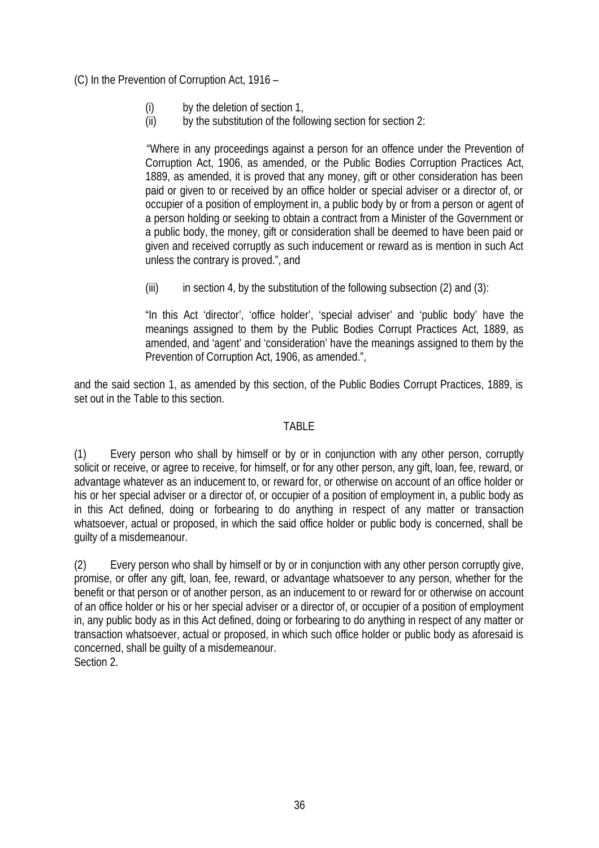(C) In the Prevention of Corruption Act, 1916 –

- (i) by the deletion of section 1,
- (ii) by the substitution of the following section for section 2:

"Where in any proceedings against a person for an offence under the Prevention of Corruption Act, 1906, as amended, or the Public Bodies Corruption Practices Act, 1889, as amended, it is proved that any money, gift or other consideration has been paid or given to or received by an office holder or special adviser or a director of, or occupier of a position of employment in, a public body by or from a person or agent of a person holding or seeking to obtain a contract from a Minister of the Government or a public body, the money, gift or consideration shall be deemed to have been paid or given and received corruptly as such inducement or reward as is mention in such Act unless the contrary is proved.", and

(iii) in section 4, by the substitution of the following subsection (2) and (3):

"In this Act 'director', 'office holder', 'special adviser' and 'public body' have the meanings assigned to them by the Public Bodies Corrupt Practices Act, 1889, as amended, and 'agent' and 'consideration' have the meanings assigned to them by the Prevention of Corruption Act, 1906, as amended.",

and the said section 1, as amended by this section, of the Public Bodies Corrupt Practices, 1889, is set out in the Table to this section.

## TABLE

(1) Every person who shall by himself or by or in conjunction with any other person, corruptly solicit or receive, or agree to receive, for himself, or for any other person, any gift, loan, fee, reward, or advantage whatever as an inducement to, or reward for, or otherwise on account of an office holder or his or her special adviser or a director of, or occupier of a position of employment in, a public body as in this Act defined, doing or forbearing to do anything in respect of any matter or transaction whatsoever, actual or proposed, in which the said office holder or public body is concerned, shall be guilty of a misdemeanour.

(2) Every person who shall by himself or by or in conjunction with any other person corruptly give, promise, or offer any gift, loan, fee, reward, or advantage whatsoever to any person, whether for the benefit or that person or of another person, as an inducement to or reward for or otherwise on account of an office holder or his or her special adviser or a director of, or occupier of a position of employment in, any public body as in this Act defined, doing or forbearing to do anything in respect of any matter or transaction whatsoever, actual or proposed, in which such office holder or public body as aforesaid is concerned, shall be guilty of a misdemeanour. Section 2.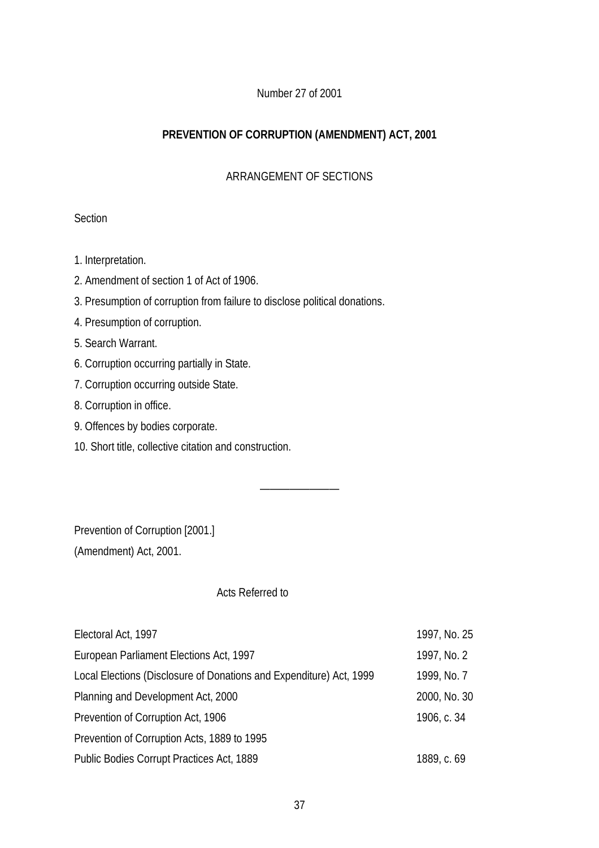#### Number 27 of 2001

# **PREVENTION OF CORRUPTION (AMENDMENT) ACT, 2001**

### ARRANGEMENT OF SECTIONS

### Section

- 1. Interpretation.
- 2. Amendment of section 1 of Act of 1906.
- 3. Presumption of corruption from failure to disclose political donations.
- 4. Presumption of corruption.
- 5. Search Warrant.
- 6. Corruption occurring partially in State.
- 7. Corruption occurring outside State.
- 8. Corruption in office.
- 9. Offences by bodies corporate.
- 10. Short title, collective citation and construction.

————————

Prevention of Corruption [2001.] (Amendment) Act, 2001.

#### Acts Referred to

| Electoral Act, 1997                                                 | 1997, No. 25 |
|---------------------------------------------------------------------|--------------|
| European Parliament Elections Act, 1997                             | 1997, No. 2  |
| Local Elections (Disclosure of Donations and Expenditure) Act, 1999 | 1999, No. 7  |
| Planning and Development Act, 2000                                  | 2000, No. 30 |
| Prevention of Corruption Act, 1906                                  | 1906, c. 34  |
| Prevention of Corruption Acts, 1889 to 1995                         |              |
| Public Bodies Corrupt Practices Act, 1889                           | 1889, c. 69  |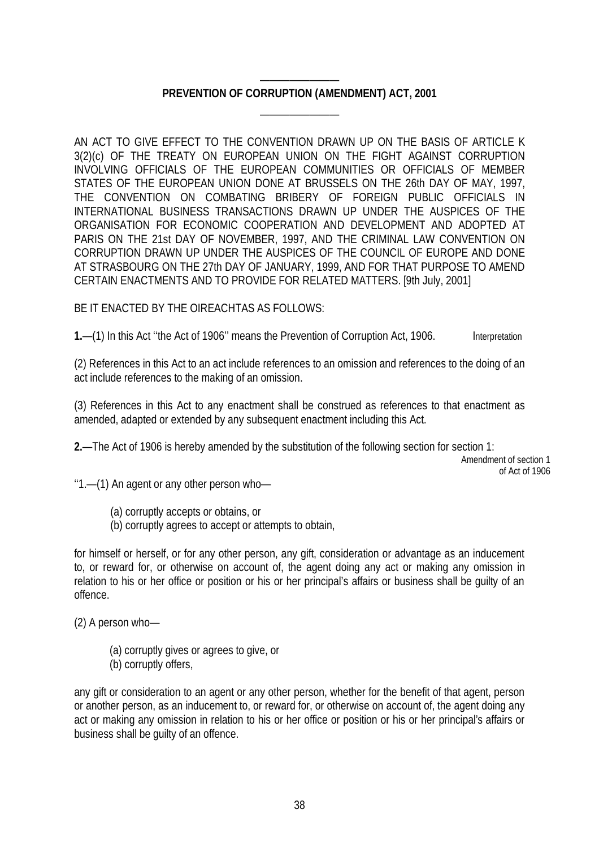#### ———————— **PREVENTION OF CORRUPTION (AMENDMENT) ACT, 2001**

#### ————————

AN ACT TO GIVE EFFECT TO THE CONVENTION DRAWN UP ON THE BASIS OF ARTICLE K 3(2)(c) OF THE TREATY ON EUROPEAN UNION ON THE FIGHT AGAINST CORRUPTION INVOLVING OFFICIALS OF THE EUROPEAN COMMUNITIES OR OFFICIALS OF MEMBER STATES OF THE EUROPEAN UNION DONE AT BRUSSELS ON THE 26th DAY OF MAY, 1997, THE CONVENTION ON COMBATING BRIBERY OF FOREIGN PUBLIC OFFICIALS IN INTERNATIONAL BUSINESS TRANSACTIONS DRAWN UP UNDER THE AUSPICES OF THE ORGANISATION FOR ECONOMIC COOPERATION AND DEVELOPMENT AND ADOPTED AT PARIS ON THE 21st DAY OF NOVEMBER, 1997, AND THE CRIMINAL LAW CONVENTION ON CORRUPTION DRAWN UP UNDER THE AUSPICES OF THE COUNCIL OF EUROPE AND DONE AT STRASBOURG ON THE 27th DAY OF JANUARY, 1999, AND FOR THAT PURPOSE TO AMEND CERTAIN ENACTMENTS AND TO PROVIDE FOR RELATED MATTERS. [9th July, 2001]

BE IT ENACTED BY THE OIREACHTAS AS FOLLOWS:

**1.** (1) In this Act "the Act of 1906" means the Prevention of Corruption Act, 1906. Interpretation

(2) References in this Act to an act include references to an omission and references to the doing of an act include references to the making of an omission.

(3) References in this Act to any enactment shall be construed as references to that enactment as amended, adapted or extended by any subsequent enactment including this Act.

**2.**— The Act of 1906 is hereby amended by the substitution of the following section for section 1:

Amendment of section 1 of Act of 1906

''1.— (1) An agent or any other person who—

- (a) corruptly accepts or obtains, or
- (b) corruptly agrees to accept or attempts to obtain,

for himself or herself, or for any other person, any gift, consideration or advantage as an inducement to, or reward for, or otherwise on account of, the agent doing any act or making any omission in relation to his or her office or position or his or her principal's affairs or business shall be guilty of an offence.

(2) A person who—

- (a) corruptly gives or agrees to give, or
- (b) corruptly offers,

any gift or consideration to an agent or any other person, whether for the benefit of that agent, person or another person, as an inducement to, or reward for, or otherwise on account of, the agent doing any act or making any omission in relation to his or her office or position or his or her principal's affairs or business shall be guilty of an offence.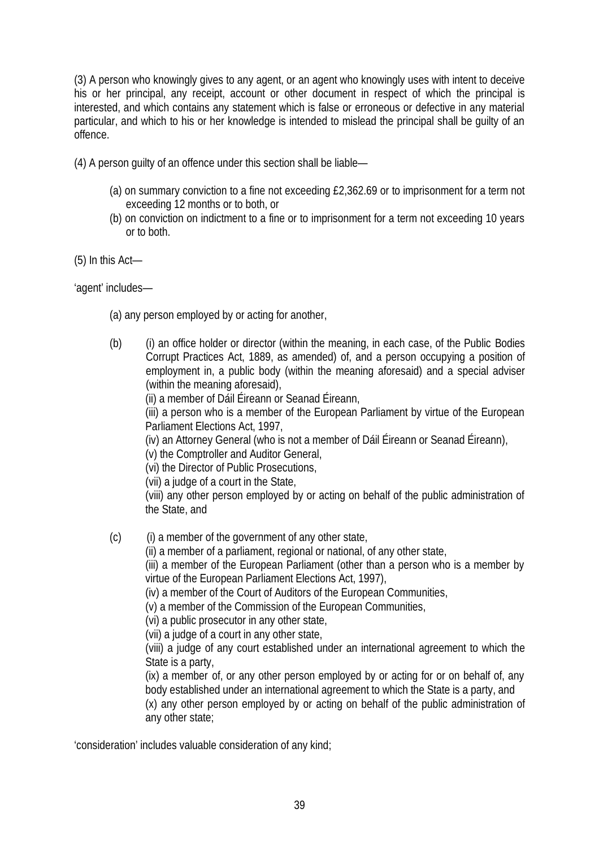(3) A person who knowingly gives to any agent, or an agent who knowingly uses with intent to deceive his or her principal, any receipt, account or other document in respect of which the principal is interested, and which contains any statement which is false or erroneous or defective in any material particular, and which to his or her knowledge is intended to mislead the principal shall be guilty of an offence.

(4) A person guilty of an offence under this section shall be liable—

- (a) on summary conviction to a fine not exceeding £2,362.69 or to imprisonment for a term not exceeding 12 months or to both, or
- (b) on conviction on indictment to a fine or to imprisonment for a term not exceeding 10 years or to both.

(5) In this Act—

'agent' includes—

- (a) any person employed by or acting for another,
- (b) (i) an office holder or director (within the meaning, in each case, of the Public Bodies Corrupt Practices Act, 1889, as amended) of, and a person occupying a position of employment in, a public body (within the meaning aforesaid) and a special adviser (within the meaning aforesaid),
	- (ii) a member of Dáil Éireann or Seanad Éireann,

(iii) a person who is a member of the European Parliament by virtue of the European Parliament Elections Act, 1997,

(iv) an Attorney General (who is not a member of Dáil Éireann or Seanad Éireann),

(v) the Comptroller and Auditor General,

- (vi) the Director of Public Prosecutions,
- (vii) a judge of a court in the State,

(viii) any other person employed by or acting on behalf of the public administration of the State, and

- (c) (i) a member of the government of any other state,
	- (ii) a member of a parliament, regional or national, of any other state,

(iii) a member of the European Parliament (other than a person who is a member by virtue of the European Parliament Elections Act, 1997),

(iv) a member of the Court of Auditors of the European Communities,

(v) a member of the Commission of the European Communities,

(vi) a public prosecutor in any other state,

(vii) a judge of a court in any other state,

(viii) a judge of any court established under an international agreement to which the State is a party,

(ix) a member of, or any other person employed by or acting for or on behalf of, any body established under an international agreement to which the State is a party, and (x) any other person employed by or acting on behalf of the public administration of any other state;

'consideration' includes valuable consideration of any kind;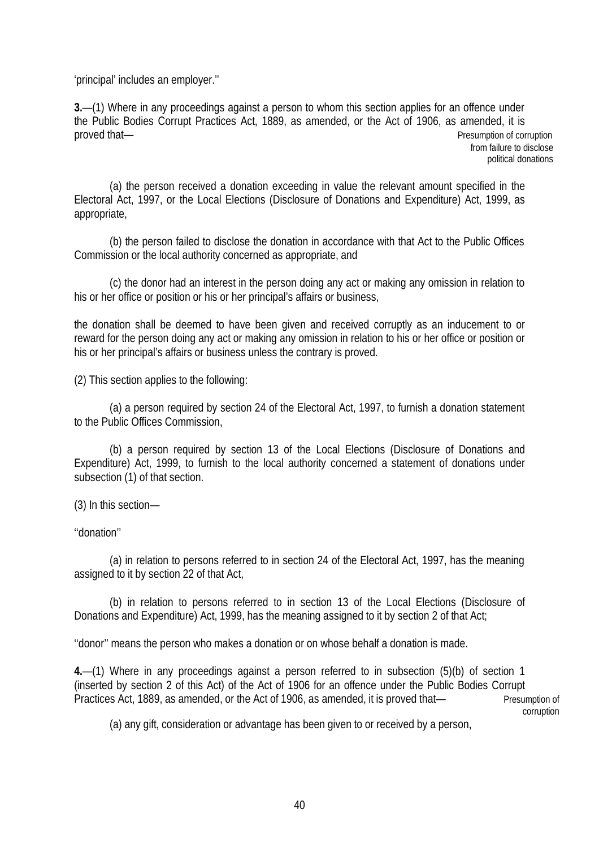'principal' includes an employer.''

**3.**— (1) Where in any proceedings against a person to whom this section applies for an offence under the Public Bodies Corrupt Practices Act, 1889, as amended, or the Act of 1906, as amended, it is proved that— **Presumption of corruption** of corruption of corruption of corruption of corruption of corruption of corruption of corruption of corruption of corruption of corruption of corruption of corruption of corruption

from failure to disclose political donations

(a) the person received a donation exceeding in value the relevant amount specified in the Electoral Act, 1997, or the Local Elections (Disclosure of Donations and Expenditure) Act, 1999, as appropriate,

(b) the person failed to disclose the donation in accordance with that Act to the Public Offices Commission or the local authority concerned as appropriate, and

(c) the donor had an interest in the person doing any act or making any omission in relation to his or her office or position or his or her principal's affairs or business,

the donation shall be deemed to have been given and received corruptly as an inducement to or reward for the person doing any act or making any omission in relation to his or her office or position or his or her principal's affairs or business unless the contrary is proved.

(2) This section applies to the following:

(a) a person required by section 24 of the Electoral Act, 1997, to furnish a donation statement to the Public Offices Commission,

(b) a person required by section 13 of the Local Elections (Disclosure of Donations and Expenditure) Act, 1999, to furnish to the local authority concerned a statement of donations under subsection (1) of that section.

(3) In this section—

''donation''

(a) in relation to persons referred to in section 24 of the Electoral Act, 1997, has the meaning assigned to it by section 22 of that Act,

(b) in relation to persons referred to in section 13 of the Local Elections (Disclosure of Donations and Expenditure) Act, 1999, has the meaning assigned to it by section 2 of that Act;

''donor'' means the person who makes a donation or on whose behalf a donation is made.

**4.**— (1) Where in any proceedings against a person referred to in subsection (5)(b) of section 1 (inserted by section 2 of this Act) of the Act of 1906 for an offence under the Public Bodies Corrupt Practices Act, 1889, as amended, or the Act of 1906, as amended, it is proved that-<br>Presumption of

corruption

(a) any gift, consideration or advantage has been given to or received by a person,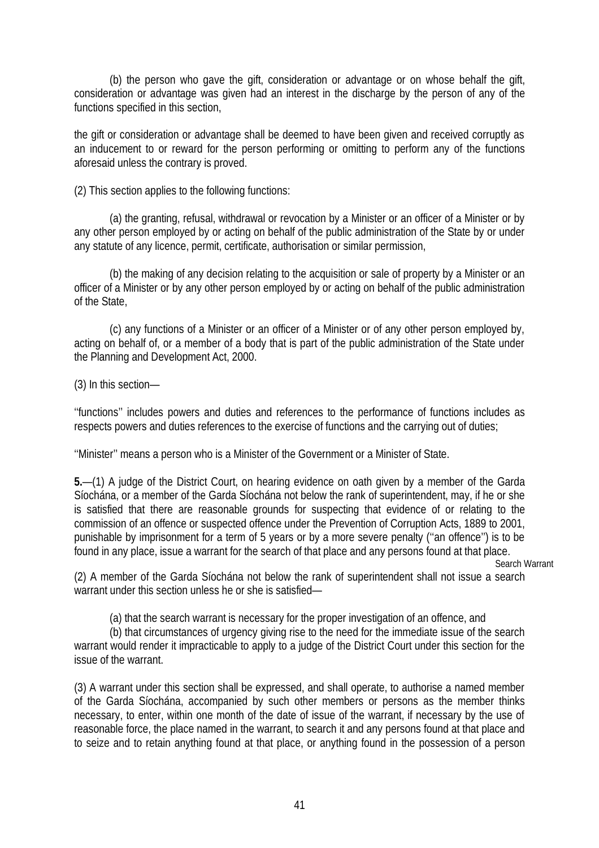(b) the person who gave the gift, consideration or advantage or on whose behalf the gift, consideration or advantage was given had an interest in the discharge by the person of any of the functions specified in this section,

the gift or consideration or advantage shall be deemed to have been given and received corruptly as an inducement to or reward for the person performing or omitting to perform any of the functions aforesaid unless the contrary is proved.

(2) This section applies to the following functions:

(a) the granting, refusal, withdrawal or revocation by a Minister or an officer of a Minister or by any other person employed by or acting on behalf of the public administration of the State by or under any statute of any licence, permit, certificate, authorisation or similar permission,

(b) the making of any decision relating to the acquisition or sale of property by a Minister or an officer of a Minister or by any other person employed by or acting on behalf of the public administration of the State,

(c) any functions of a Minister or an officer of a Minister or of any other person employed by, acting on behalf of, or a member of a body that is part of the public administration of the State under the Planning and Development Act, 2000.

(3) In this section—

''functions'' includes powers and duties and references to the performance of functions includes as respects powers and duties references to the exercise of functions and the carrying out of duties;

''Minister'' means a person who is a Minister of the Government or a Minister of State.

**5.**— (1) A judge of the District Court, on hearing evidence on oath given by a member of the Garda Síochána, or a member of the Garda Síochána not below the rank of superintendent, may, if he or she is satisfied that there are reasonable grounds for suspecting that evidence of or relating to the commission of an offence or suspected offence under the Prevention of Corruption Acts, 1889 to 2001, punishable by imprisonment for a term of 5 years or by a more severe penalty (''an offence'') is to be found in any place, issue a warrant for the search of that place and any persons found at that place. Search Warrant

(2) A member of the Garda Síochána not below the rank of superintendent shall not issue a search warrant under this section unless he or she is satisfied—

(a) that the search warrant is necessary for the proper investigation of an offence, and

(b) that circumstances of urgency giving rise to the need for the immediate issue of the search warrant would render it impracticable to apply to a judge of the District Court under this section for the issue of the warrant.

(3) A warrant under this section shall be expressed, and shall operate, to authorise a named member of the Garda Síochána, accompanied by such other members or persons as the member thinks necessary, to enter, within one month of the date of issue of the warrant, if necessary by the use of reasonable force, the place named in the warrant, to search it and any persons found at that place and to seize and to retain anything found at that place, or anything found in the possession of a person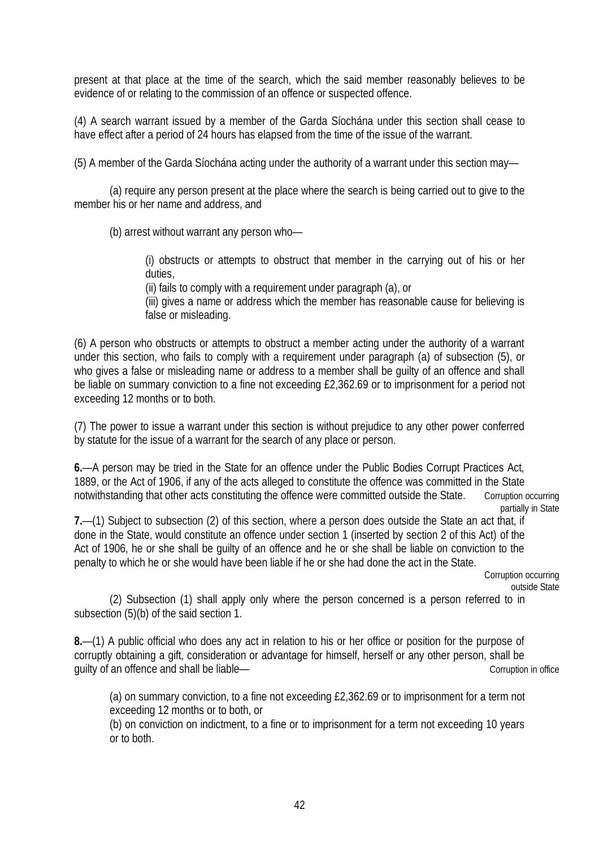present at that place at the time of the search, which the said member reasonably believes to be evidence of or relating to the commission of an offence or suspected offence.

(4) A search warrant issued by a member of the Garda Síochána under this section shall cease to have effect after a period of 24 hours has elapsed from the time of the issue of the warrant.

(5) A member of the Garda Síochána acting under the authority of a warrant under this section may—

(a) require any person present at the place where the search is being carried out to give to the member his or her name and address, and

(b) arrest without warrant any person who—

(i) obstructs or attempts to obstruct that member in the carrying out of his or her duties,

(ii) fails to comply with a requirement under paragraph (a), or

(iii) gives a name or address which the member has reasonable cause for believing is false or misleading.

(6) A person who obstructs or attempts to obstruct a member acting under the authority of a warrant under this section, who fails to comply with a requirement under paragraph (a) of subsection (5), or who gives a false or misleading name or address to a member shall be guilty of an offence and shall be liable on summary conviction to a fine not exceeding £2,362.69 or to imprisonment for a period not exceeding 12 months or to both.

(7) The power to issue a warrant under this section is without prejudice to any other power conferred by statute for the issue of a warrant for the search of any place or person.

**6.**— A person may be tried in the State for an offence under the Public Bodies Corrupt Practices Act, 1889, or the Act of 1906, if any of the acts alleged to constitute the offence was committed in the State notwithstanding that other acts constituting the offence were committed outside the State. Corruption occurring

**7.**— (1) Subject to subsection (2) of this section, where a person does outside the State an act that, if done in the State, would constitute an offence under section 1 (inserted by section 2 of this Act) of the Act of 1906, he or she shall be guilty of an offence and he or she shall be liable on conviction to the penalty to which he or she would have been liable if he or she had done the act in the State.

Corruption occurring

outside State

(2) Subsection (1) shall apply only where the person concerned is a person referred to in subsection (5)(b) of the said section 1.

**8.**— (1) A public official who does any act in relation to his or her office or position for the purpose of corruptly obtaining a gift, consideration or advantage for himself, herself or any other person, shall be quilty of an offence and shall be liable— corruption in office

(a) on summary conviction, to a fine not exceeding £2,362.69 or to imprisonment for a term not exceeding 12 months or to both, or

(b) on conviction on indictment, to a fine or to imprisonment for a term not exceeding 10 years or to both.